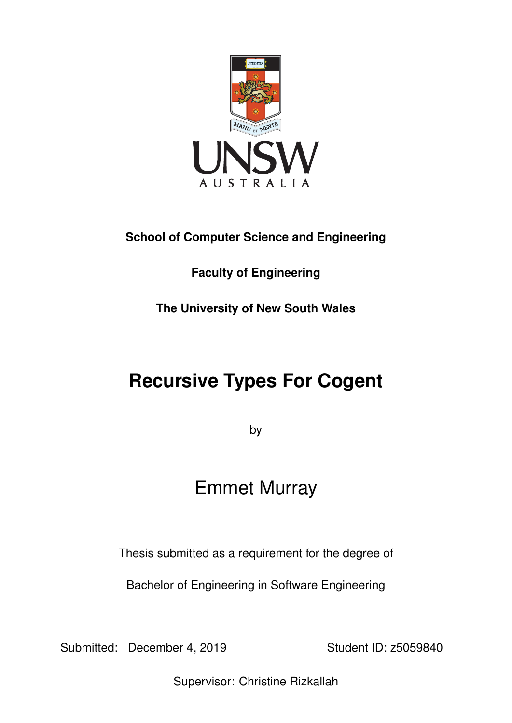

## **School of Computer Science and Engineering**

**Faculty of Engineering**

**The University of New South Wales**

# **Recursive Types For Cogent**

by

# Emmet Murray

Thesis submitted as a requirement for the degree of

Bachelor of Engineering in Software Engineering

Submitted: December 4, 2019 Student ID: z5059840

Supervisor: Christine Rizkallah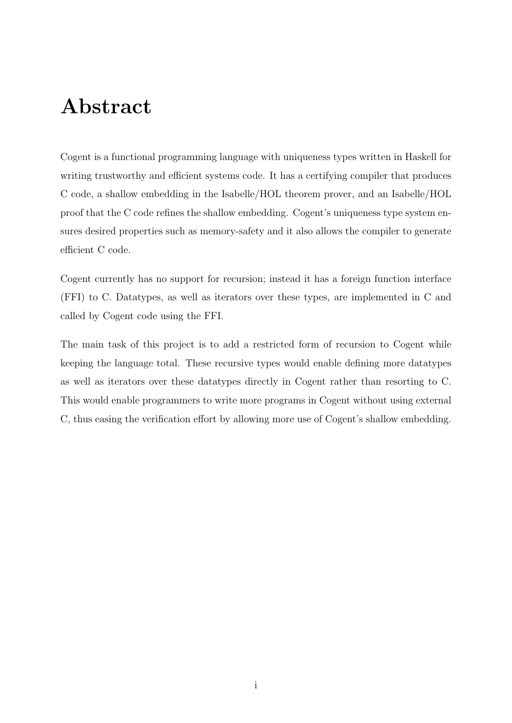## Abstract

Cogent is a functional programming language with uniqueness types written in Haskell for writing trustworthy and efficient systems code. It has a certifying compiler that produces C code, a shallow embedding in the Isabelle/HOL theorem prover, and an Isabelle/HOL proof that the C code refines the shallow embedding. Cogent's uniqueness type system ensures desired properties such as memory-safety and it also allows the compiler to generate efficient C code.

Cogent currently has no support for recursion; instead it has a foreign function interface (FFI) to C. Datatypes, as well as iterators over these types, are implemented in C and called by Cogent code using the FFI.

The main task of this project is to add a restricted form of recursion to Cogent while keeping the language total. These recursive types would enable defining more datatypes as well as iterators over these datatypes directly in Cogent rather than resorting to C. This would enable programmers to write more programs in Cogent without using external C, thus easing the verification effort by allowing more use of Cogent's shallow embedding.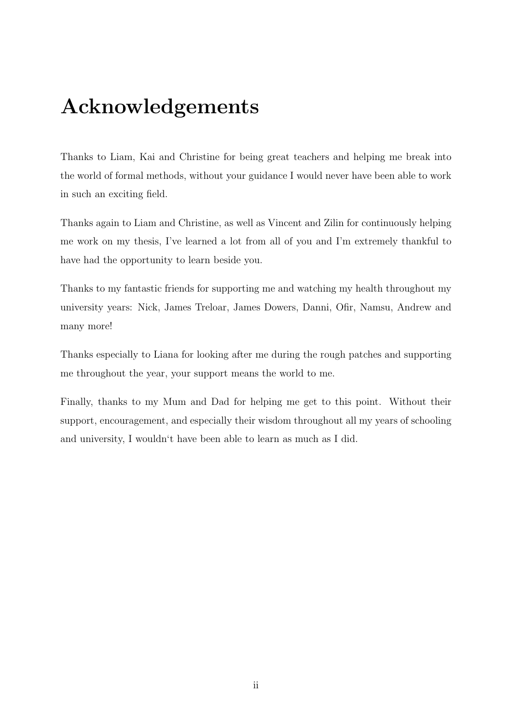## Acknowledgements

Thanks to Liam, Kai and Christine for being great teachers and helping me break into the world of formal methods, without your guidance I would never have been able to work in such an exciting field.

Thanks again to Liam and Christine, as well as Vincent and Zilin for continuously helping me work on my thesis, I've learned a lot from all of you and I'm extremely thankful to have had the opportunity to learn beside you.

Thanks to my fantastic friends for supporting me and watching my health throughout my university years: Nick, James Treloar, James Dowers, Danni, Ofir, Namsu, Andrew and many more!

Thanks especially to Liana for looking after me during the rough patches and supporting me throughout the year, your support means the world to me.

Finally, thanks to my Mum and Dad for helping me get to this point. Without their support, encouragement, and especially their wisdom throughout all my years of schooling and university, I wouldn't have been able to learn as much as I did.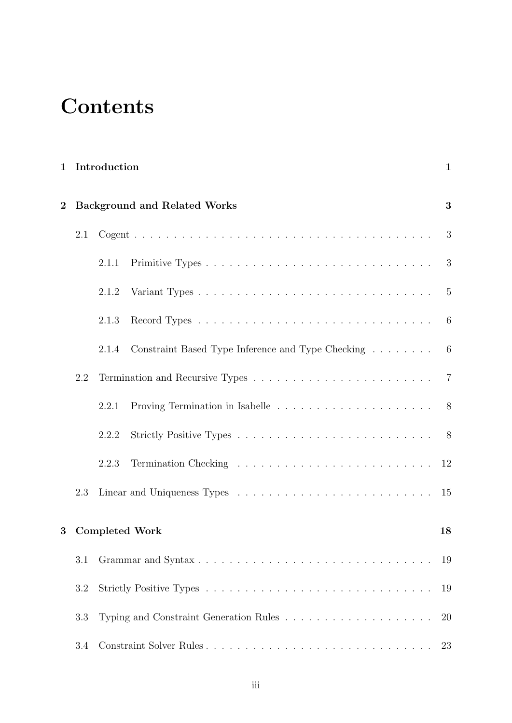# **Contents**

|                |                       | 1 Introduction                                                                         | $\mathbf{1}$ |  |
|----------------|-----------------------|----------------------------------------------------------------------------------------|--------------|--|
| $\overline{2}$ |                       | <b>Background and Related Works</b>                                                    |              |  |
|                | 2.1                   |                                                                                        | 3            |  |
|                |                       | 2.1.1                                                                                  | -3           |  |
|                |                       | 2.1.2                                                                                  |              |  |
|                |                       | 2.1.3                                                                                  |              |  |
|                |                       | Constraint Based Type Inference and Type Checking 6<br>2.1.4                           |              |  |
|                | 2.2                   |                                                                                        |              |  |
|                |                       | Proving Termination in Isabelle $\ldots \ldots \ldots \ldots \ldots \ldots$ 8<br>2.2.1 |              |  |
|                |                       | 2.2.2                                                                                  |              |  |
|                |                       | 2.2.3                                                                                  |              |  |
|                | 2.3                   |                                                                                        | 15           |  |
| 3              | <b>Completed Work</b> |                                                                                        | 18           |  |
|                | 3.1                   |                                                                                        |              |  |
|                | 3.2                   |                                                                                        |              |  |
|                | 3.3                   |                                                                                        | 20           |  |
|                | 3.4                   | Constraint Solver Rules                                                                | 23           |  |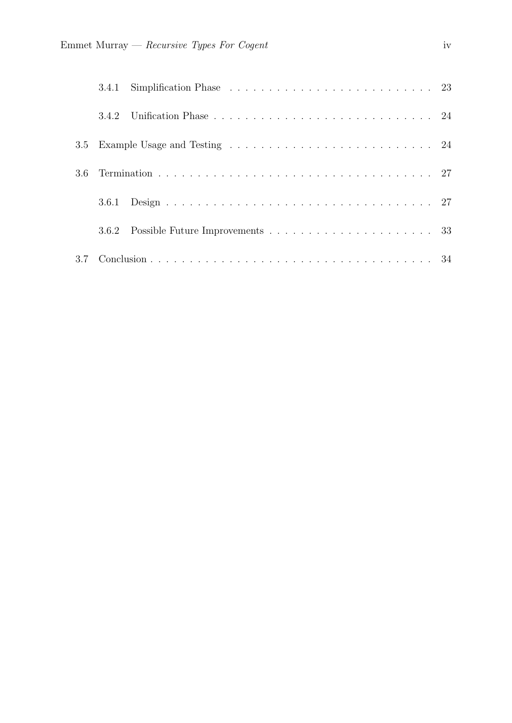| 3.5 |       |  |  |  |
|-----|-------|--|--|--|
| 3.6 |       |  |  |  |
|     | 3.6.1 |  |  |  |
|     |       |  |  |  |
|     |       |  |  |  |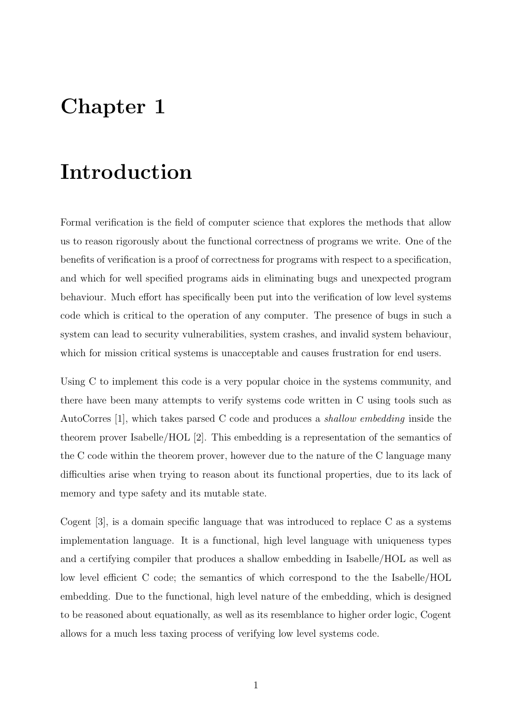## <span id="page-5-0"></span>Chapter 1

## Introduction

Formal verification is the field of computer science that explores the methods that allow us to reason rigorously about the functional correctness of programs we write. One of the benefits of verification is a proof of correctness for programs with respect to a specification, and which for well specified programs aids in eliminating bugs and unexpected program behaviour. Much effort has specifically been put into the verification of low level systems code which is critical to the operation of any computer. The presence of bugs in such a system can lead to security vulnerabilities, system crashes, and invalid system behaviour, which for mission critical systems is unacceptable and causes frustration for end users.

Using C to implement this code is a very popular choice in the systems community, and there have been many attempts to verify systems code written in C using tools such as AutoCorres [\[1\]](#page-40-0), which takes parsed C code and produces a shallow embedding inside the theorem prover Isabelle/HOL [\[2\]](#page-40-1). This embedding is a representation of the semantics of the C code within the theorem prover, however due to the nature of the C language many difficulties arise when trying to reason about its functional properties, due to its lack of memory and type safety and its mutable state.

Cogent [\[3\]](#page-40-2), is a domain specific language that was introduced to replace C as a systems implementation language. It is a functional, high level language with uniqueness types and a certifying compiler that produces a shallow embedding in Isabelle/HOL as well as low level efficient C code; the semantics of which correspond to the the Isabelle/HOL embedding. Due to the functional, high level nature of the embedding, which is designed to be reasoned about equationally, as well as its resemblance to higher order logic, Cogent allows for a much less taxing process of verifying low level systems code.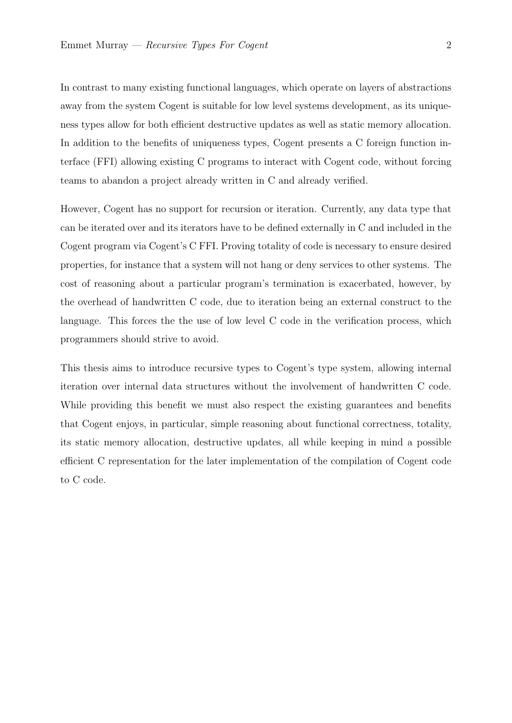In contrast to many existing functional languages, which operate on layers of abstractions away from the system Cogent is suitable for low level systems development, as its uniqueness types allow for both efficient destructive updates as well as static memory allocation. In addition to the benefits of uniqueness types, Cogent presents a C foreign function interface (FFI) allowing existing C programs to interact with Cogent code, without forcing teams to abandon a project already written in C and already verified.

However, Cogent has no support for recursion or iteration. Currently, any data type that can be iterated over and its iterators have to be defined externally in C and included in the Cogent program via Cogent's C FFI. Proving totality of code is necessary to ensure desired properties, for instance that a system will not hang or deny services to other systems. The cost of reasoning about a particular program's termination is exacerbated, however, by the overhead of handwritten C code, due to iteration being an external construct to the language. This forces the the use of low level C code in the verification process, which programmers should strive to avoid.

This thesis aims to introduce recursive types to Cogent's type system, allowing internal iteration over internal data structures without the involvement of handwritten C code. While providing this benefit we must also respect the existing guarantees and benefits that Cogent enjoys, in particular, simple reasoning about functional correctness, totality, its static memory allocation, destructive updates, all while keeping in mind a possible efficient C representation for the later implementation of the compilation of Cogent code to C code.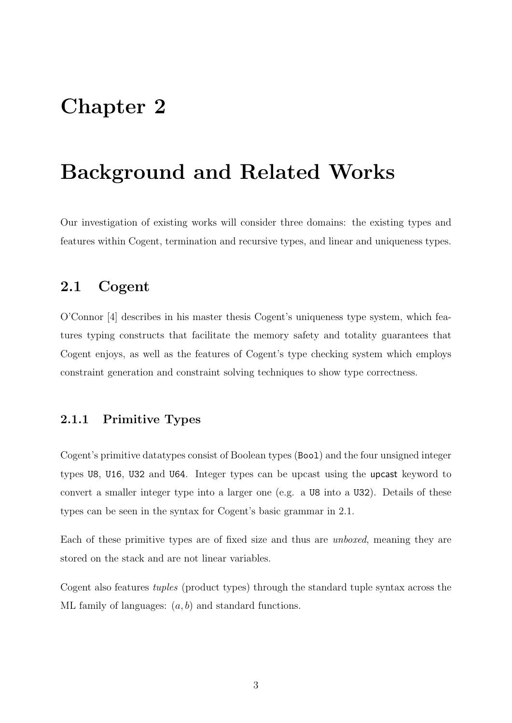## <span id="page-7-0"></span>Chapter 2

## Background and Related Works

<span id="page-7-1"></span>Our investigation of existing works will consider three domains: the existing types and features within Cogent, termination and recursive types, and linear and uniqueness types.

### 2.1 Cogent

O'Connor [\[4\]](#page-40-3) describes in his master thesis Cogent's uniqueness type system, which features typing constructs that facilitate the memory safety and totality guarantees that Cogent enjoys, as well as the features of Cogent's type checking system which employs constraint generation and constraint solving techniques to show type correctness.

### <span id="page-7-2"></span>2.1.1 Primitive Types

Cogent's primitive datatypes consist of Boolean types (Bool) and the four unsigned integer types U8, U16, U32 and U64. Integer types can be upcast using the upcast keyword to convert a smaller integer type into a larger one (e.g. a U8 into a U32). Details of these types can be seen in the syntax for Cogent's basic grammar in [2.1.](#page-8-0)

Each of these primitive types are of fixed size and thus are unboxed, meaning they are stored on the stack and are not linear variables.

<span id="page-7-3"></span>Cogent also features tuples (product types) through the standard tuple syntax across the ML family of languages:  $(a, b)$  and standard functions.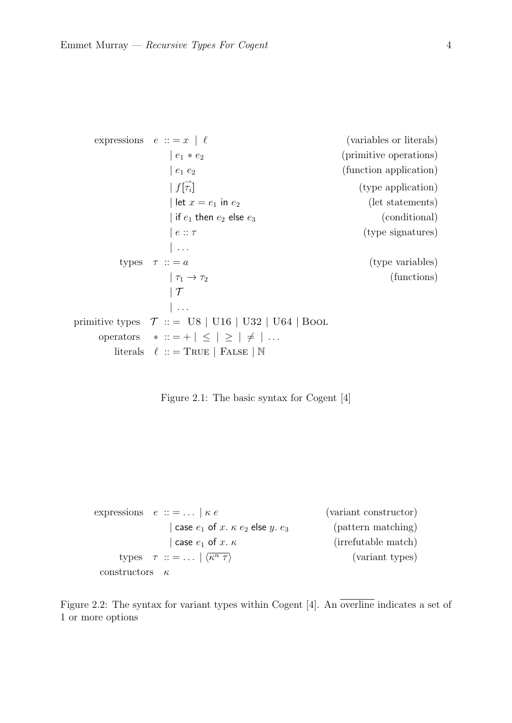```
expressions e ::= x \mid \ell (variables or literals)
              | e_1 * e_2 | (primitive operations)
              |e_1 e_2| (function application)
               | f|_{\tau_i}(type application)
              | let x = e_1 in e_2 (let statements)
              | if e_1 then e_2 else e_3 (conditional)
              | e : \tau (type signatures)
              \| \ldotstypes \tau :: = a (type variables)
              |\tau_1 \to \tau_2 (functions)
              |T|\| . . .
primitive types \tau :: = U8 | U16 | U32 | U64 | Bool
    operators * ::= + | \leq | \geq | \neq | ...literals \ell :: = TRUE | FALSE | N
```
Figure 2.1: The basic syntax for Cogent [\[4\]](#page-40-3)

```
expressions e ::= ... | \kappa e (variant constructor)
                | case e_1 of x. \kappa e_2 else y. e_3 (pattern matching)
                 | case e_1 of x. \kappa (irrefutable match)
     types \tau :: = ... \langle \overline{\kappa^n \tau} \rangle(variant types)
 constructors \kappa
```
Figure 2.2: The syntax for variant types within Cogent [\[4\]](#page-40-3). An overline indicates a set of 1 or more options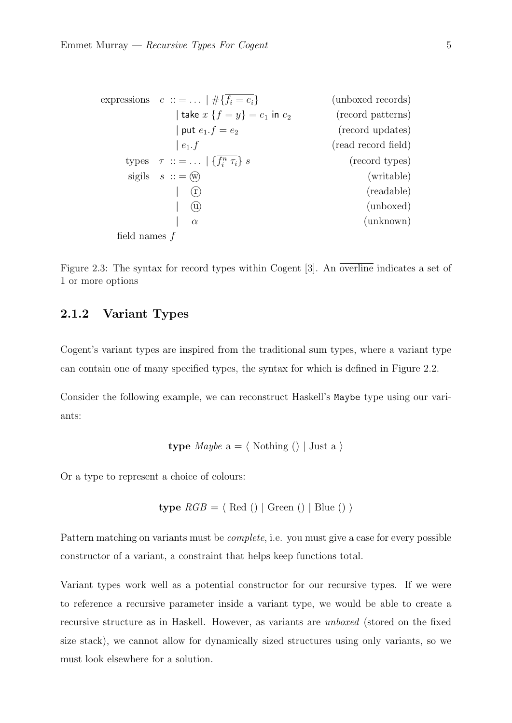<span id="page-9-1"></span>

| expressions                           | $e$ ::= ...   #{ $f_i = e_i$ }                   | (unboxed records) |
|---------------------------------------|--------------------------------------------------|-------------------|
| take $x$ { $f = y$ } = $e_1$ in $e_2$ | (record patterns)                                |                   |
| put $e_1.f = e_2$                     | (record updates)                                 |                   |
| $e_1.f$                               | (read record field)                              |                   |
| types                                 | $\tau$ ::= ...   { $\overline{f_i^n \tau_i}$ } s | (record types)    |
| sigils                                | $s$ ::= $\overline{w}$                           | (writable)        |
| $\overline{w}$                        | (readable)                                       |                   |
| $\overline{w}$                        | (randomized)                                     |                   |
| $\alpha$                              | (unknown)                                        |                   |
| field names $f$                       |                                                  |                   |

Figure 2.3: The syntax for record types within Cogent [\[3\]](#page-40-2). An overline indicates a set of 1 or more options

#### 2.1.2 Variant Types

Cogent's variant types are inspired from the traditional sum types, where a variant type can contain one of many specified types, the syntax for which is defined in [Figure 2.2.](#page-8-1)

Consider the following example, we can reconstruct Haskell's Maybe type using our variants:

**type** *Maybe* 
$$
a = \langle
$$
 Nothing () | Just a  $\rangle$ 

Or a type to represent a choice of colours:

$$
type\ RGB = \langle\ \text{Red}\ (\rangle \mid \text{Green}\ (\rangle \mid \text{Blue}\ (\rangle \ \rangle
$$

Pattern matching on variants must be complete, i.e. you must give a case for every possible constructor of a variant, a constraint that helps keep functions total.

<span id="page-9-0"></span>Variant types work well as a potential constructor for our recursive types. If we were to reference a recursive parameter inside a variant type, we would be able to create a recursive structure as in Haskell. However, as variants are unboxed (stored on the fixed size stack), we cannot allow for dynamically sized structures using only variants, so we must look elsewhere for a solution.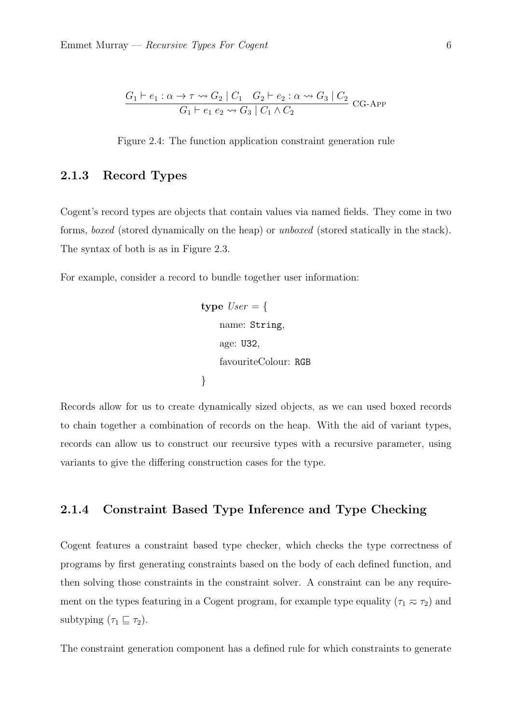<span id="page-10-1"></span>
$$
\frac{G_1 \vdash e_1 : \alpha \to \tau \leadsto G_2 \mid C_1 \quad G_2 \vdash e_2 : \alpha \leadsto G_3 \mid C_2}{G_1 \vdash e_1 \ e_2 \leadsto G_3 \mid C_1 \land C_2} \ \text{CG-APP}
$$

Figure 2.4: The function application constraint generation rule

#### 2.1.3 Record Types

Cogent's record types are objects that contain values via named fields. They come in two forms, boxed (stored dynamically on the heap) or unboxed (stored statically in the stack). The syntax of both is as in [Figure 2.3.](#page-9-1)

For example, consider a record to bundle together user information:

```
type User = \{name: String,
    age: U32,
    favouriteColour: RGB
}
```
Records allow for us to create dynamically sized objects, as we can used boxed records to chain together a combination of records on the heap. With the aid of variant types, records can allow us to construct our recursive types with a recursive parameter, using variants to give the differing construction cases for the type.

#### <span id="page-10-0"></span>2.1.4 Constraint Based Type Inference and Type Checking

Cogent features a constraint based type checker, which checks the type correctness of programs by first generating constraints based on the body of each defined function, and then solving those constraints in the constraint solver. A constraint can be any requirement on the types featuring in a Cogent program, for example type equality  $(\tau_1 \nightharpoondown \tau_2)$  and subtyping  $(\tau_1 \sqsubseteq \tau_2)$ .

The constraint generation component has a defined rule for which constraints to generate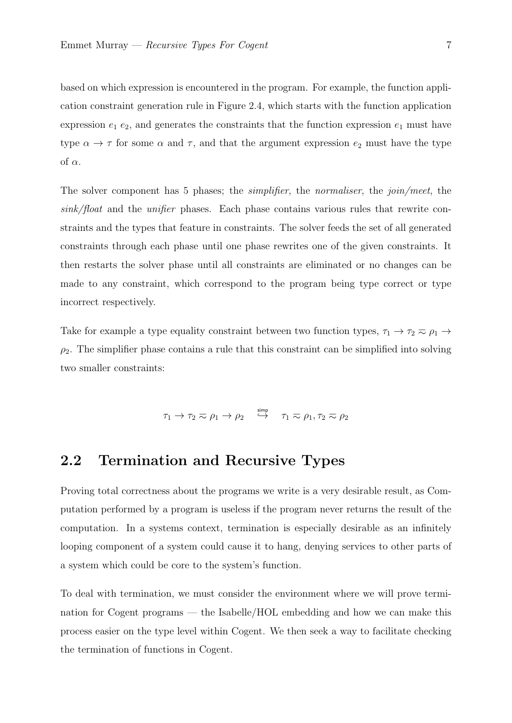based on which expression is encountered in the program. For example, the function application constraint generation rule in [Figure 2.4,](#page-10-1) which starts with the function application expression  $e_1$   $e_2$ , and generates the constraints that the function expression  $e_1$  must have type  $\alpha \to \tau$  for some  $\alpha$  and  $\tau$ , and that the argument expression  $e_2$  must have the type of  $\alpha$ .

The solver component has 5 phases; the *simplifier*, the *normaliser*, the *join/meet*, the  $sink/float$  and the *unifier* phases. Each phase contains various rules that rewrite constraints and the types that feature in constraints. The solver feeds the set of all generated constraints through each phase until one phase rewrites one of the given constraints. It then restarts the solver phase until all constraints are eliminated or no changes can be made to any constraint, which correspond to the program being type correct or type incorrect respectively.

Take for example a type equality constraint between two function types,  $\tau_1 \to \tau_2 \approx \rho_1 \to$  $\rho_2$ . The simplifier phase contains a rule that this constraint can be simplified into solving two smaller constraints:

 $\tau_1 \rightarrow \tau_2 \eqsim \rho_1 \rightarrow \rho_2 \quad \stackrel{\rm simp} \hookrightarrow \quad \tau_1 \eqsim \rho_1, \tau_2 \eqsim \rho_2$ 

### <span id="page-11-0"></span>2.2 Termination and Recursive Types

Proving total correctness about the programs we write is a very desirable result, as Computation performed by a program is useless if the program never returns the result of the computation. In a systems context, termination is especially desirable as an infinitely looping component of a system could cause it to hang, denying services to other parts of a system which could be core to the system's function.

<span id="page-11-1"></span>To deal with termination, we must consider the environment where we will prove termination for Cogent programs — the Isabelle/HOL embedding and how we can make this process easier on the type level within Cogent. We then seek a way to facilitate checking the termination of functions in Cogent.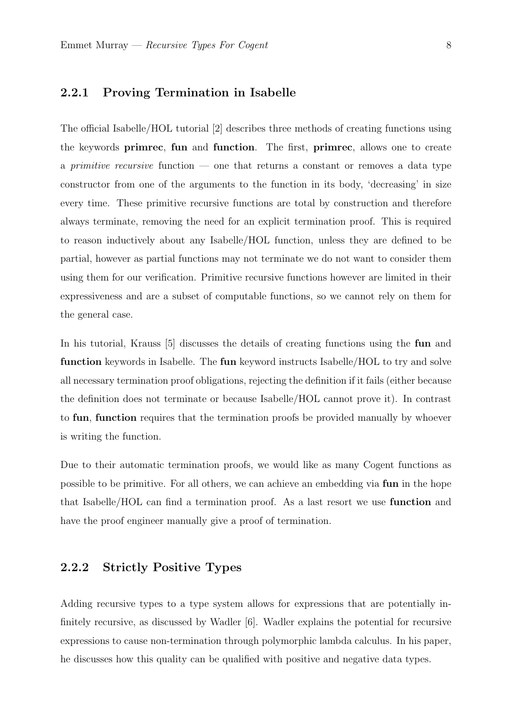#### 2.2.1 Proving Termination in Isabelle

The official Isabelle/HOL tutorial [\[2\]](#page-40-1) describes three methods of creating functions using the keywords primrec, fun and function. The first, primrec, allows one to create a *primitive recursive* function  $-$  one that returns a constant or removes a data type constructor from one of the arguments to the function in its body, 'decreasing' in size every time. These primitive recursive functions are total by construction and therefore always terminate, removing the need for an explicit termination proof. This is required to reason inductively about any Isabelle/HOL function, unless they are defined to be partial, however as partial functions may not terminate we do not want to consider them using them for our verification. Primitive recursive functions however are limited in their expressiveness and are a subset of computable functions, so we cannot rely on them for the general case.

In his tutorial, Krauss [\[5\]](#page-40-4) discusses the details of creating functions using the fun and function keywords in Isabelle. The fun keyword instructs Isabelle/HOL to try and solve all necessary termination proof obligations, rejecting the definition if it fails (either because the definition does not terminate or because Isabelle/HOL cannot prove it). In contrast to fun, function requires that the termination proofs be provided manually by whoever is writing the function.

Due to their automatic termination proofs, we would like as many Cogent functions as possible to be primitive. For all others, we can achieve an embedding via fun in the hope that Isabelle/HOL can find a termination proof. As a last resort we use function and have the proof engineer manually give a proof of termination.

#### <span id="page-12-0"></span>2.2.2 Strictly Positive Types

Adding recursive types to a type system allows for expressions that are potentially infinitely recursive, as discussed by Wadler [\[6\]](#page-40-5). Wadler explains the potential for recursive expressions to cause non-termination through polymorphic lambda calculus. In his paper, he discusses how this quality can be qualified with positive and negative data types.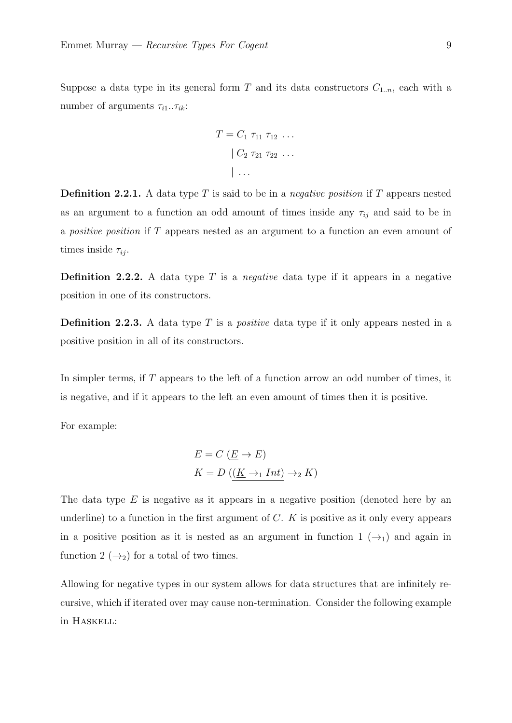Suppose a data type in its general form T and its data constructors  $C_{1,n}$ , each with a number of arguments  $\tau_{i1} \ldots \tau_{ik}$ :

$$
T = C_1 \tau_{11} \tau_{12} \dots \n\mid C_2 \tau_{21} \tau_{22} \dots \n\mid \dots
$$

**Definition 2.2.1.** A data type T is said to be in a *negative position* if T appears nested as an argument to a function an odd amount of times inside any  $\tau_{ij}$  and said to be in a positive position if T appears nested as an argument to a function an even amount of times inside  $\tau_{ii}$ .

**Definition 2.2.2.** A data type  $T$  is a *negative* data type if it appears in a negative position in one of its constructors.

**Definition 2.2.3.** A data type  $T$  is a *positive* data type if it only appears nested in a positive position in all of its constructors.

In simpler terms, if T appears to the left of a function arrow an odd number of times, it is negative, and if it appears to the left an even amount of times then it is positive.

For example:

$$
E = C \left( \underline{E} \to E \right)
$$
  

$$
K = D \left( \left( \underline{K} \to_1 Int \right) \to_2 K \right)
$$

The data type  $E$  is negative as it appears in a negative position (denoted here by an underline) to a function in the first argument of  $C$ .  $K$  is positive as it only every appears in a positive position as it is nested as an argument in function  $1 (\rightarrow_1)$  and again in function 2  $(\rightarrow_2)$  for a total of two times.

Allowing for negative types in our system allows for data structures that are infinitely recursive, which if iterated over may cause non-termination. Consider the following example in Haskell: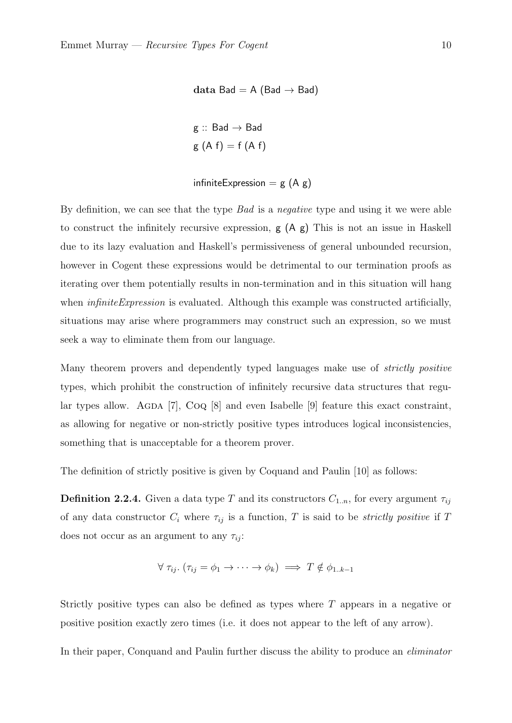```
data Bad = A (Bad \rightarrow Bad)
g :: Bad \rightarrow Bad
g(A f) = f(A f)
```
infiniteExpression =  $g(A g)$ 

By definition, we can see that the type Bad is a negative type and using it we were able to construct the infinitely recursive expression, g (A g) This is not an issue in Haskell due to its lazy evaluation and Haskell's permissiveness of general unbounded recursion, however in Cogent these expressions would be detrimental to our termination proofs as iterating over them potentially results in non-termination and in this situation will hang when *infiniteExpression* is evaluated. Although this example was constructed artificially, situations may arise where programmers may construct such an expression, so we must seek a way to eliminate them from our language.

Many theorem provers and dependently typed languages make use of strictly positive types, which prohibit the construction of infinitely recursive data structures that regular types allow. AGDA  $[7]$ , CoQ  $[8]$  and even Isabelle  $[9]$  feature this exact constraint, as allowing for negative or non-strictly positive types introduces logical inconsistencies, something that is unacceptable for a theorem prover.

The definition of strictly positive is given by Coquand and Paulin [\[10\]](#page-41-0) as follows:

**Definition 2.2.4.** Given a data type T and its constructors  $C_{1,n}$ , for every argument  $\tau_{ij}$ of any data constructor  $C_i$  where  $\tau_{ij}$  is a function, T is said to be *strictly positive* if T does not occur as an argument to any  $\tau_{ij}$ :

$$
\forall \tau_{ij}. (\tau_{ij} = \phi_1 \rightarrow \cdots \rightarrow \phi_k) \implies T \notin \phi_{1..k-1}
$$

Strictly positive types can also be defined as types where T appears in a negative or positive position exactly zero times (i.e. it does not appear to the left of any arrow).

In their paper, Conquand and Paulin further discuss the ability to produce an eliminator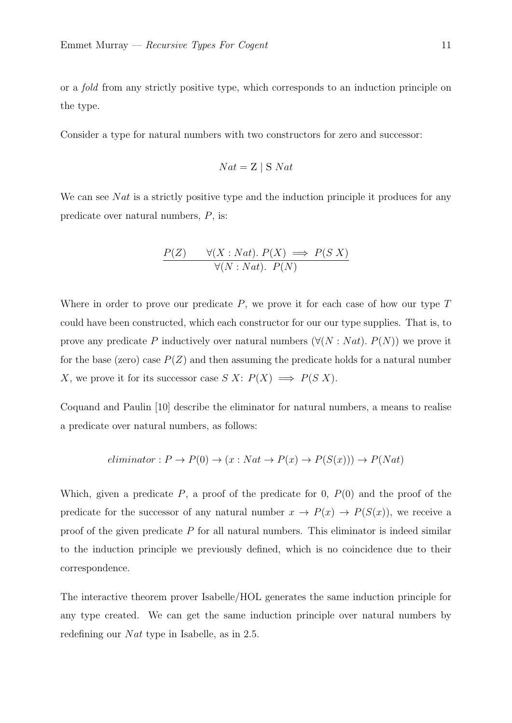or a fold from any strictly positive type, which corresponds to an induction principle on the type.

Consider a type for natural numbers with two constructors for zero and successor:

$$
Nat = Z \mid S \ Nat
$$

We can see N $at$  is a strictly positive type and the induction principle it produces for any predicate over natural numbers, P, is:

$$
\frac{P(Z) \quad \forall (X: Nat). \ P(X) \implies P(S|X)}{\forall (N: Nat). \ P(N)}
$$

Where in order to prove our predicate  $P$ , we prove it for each case of how our type  $T$ could have been constructed, which each constructor for our our type supplies. That is, to prove any predicate P inductively over natural numbers  $(\forall (N : Nat)$ .  $P(N))$  we prove it for the base (zero) case  $P(Z)$  and then assuming the predicate holds for a natural number X, we prove it for its successor case  $S X: P(X) \implies P(S X)$ .

Coquand and Paulin [\[10\]](#page-41-0) describe the eliminator for natural numbers, a means to realise a predicate over natural numbers, as follows:

$$
eliminator: P \to P(0) \to (x: Nat \to P(x) \to P(S(x))) \to P(Nat)
$$

Which, given a predicate  $P$ , a proof of the predicate for 0,  $P(0)$  and the proof of the predicate for the successor of any natural number  $x \to P(x) \to P(S(x))$ , we receive a proof of the given predicate  $P$  for all natural numbers. This eliminator is indeed similar to the induction principle we previously defined, which is no coincidence due to their correspondence.

The interactive theorem prover Isabelle/HOL generates the same induction principle for any type created. We can get the same induction principle over natural numbers by redefining our  $Nat$  type in Isabelle, as in [2.5.](#page-16-1)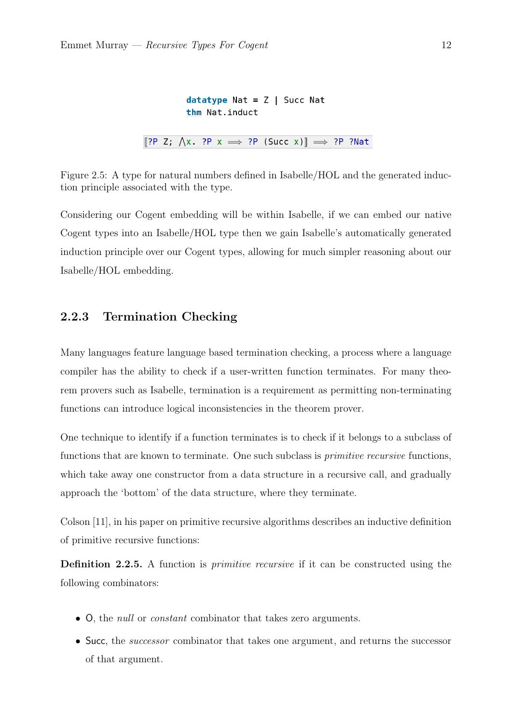```
datatype Nat = Z | Succ Natthm Nat.induct
\llbracket ?P Z; \bigwedge x. ?P x \implies ?P (Succ x) \rrbracket \implies ?P ?Nat
```
Figure 2.5: A type for natural numbers defined in Isabelle/HOL and the generated induction principle associated with the type.

Considering our Cogent embedding will be within Isabelle, if we can embed our native Cogent types into an Isabelle/HOL type then we gain Isabelle's automatically generated induction principle over our Cogent types, allowing for much simpler reasoning about our Isabelle/HOL embedding.

### <span id="page-16-0"></span>2.2.3 Termination Checking

Many languages feature language based termination checking, a process where a language compiler has the ability to check if a user-written function terminates. For many theorem provers such as Isabelle, termination is a requirement as permitting non-terminating functions can introduce logical inconsistencies in the theorem prover.

One technique to identify if a function terminates is to check if it belongs to a subclass of functions that are known to terminate. One such subclass is *primitive recursive* functions, which take away one constructor from a data structure in a recursive call, and gradually approach the 'bottom' of the data structure, where they terminate.

Colson [\[11\]](#page-41-1), in his paper on primitive recursive algorithms describes an inductive definition of primitive recursive functions:

Definition 2.2.5. A function is *primitive recursive* if it can be constructed using the following combinators:

- O, the null or constant combinator that takes zero arguments.
- Succ, the *successor* combinator that takes one argument, and returns the successor of that argument.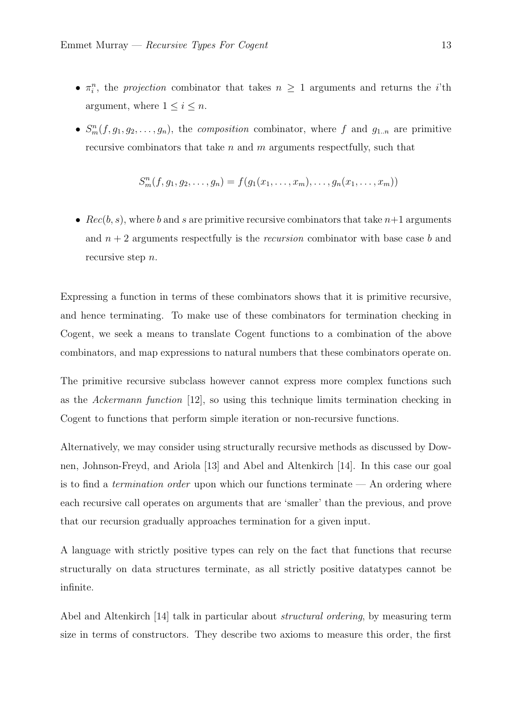- $\pi_i^n$ , the *projection* combinator that takes  $n \geq 1$  arguments and returns the *i*'th argument, where  $1 \leq i \leq n$ .
- $S_m^n(f, g_1, g_2, \ldots, g_n)$ , the composition combinator, where f and  $g_{1..n}$  are primitive recursive combinators that take  $n$  and  $m$  arguments respectfully, such that

$$
S_m^n(f, g_1, g_2, \dots, g_n) = f(g_1(x_1, \dots, x_m), \dots, g_n(x_1, \dots, x_m))
$$

•  $Rec(b, s)$ , where b and s are primitive recursive combinators that take  $n+1$  arguments and  $n + 2$  arguments respectfully is the *recursion* combinator with base case b and recursive step *n*.

Expressing a function in terms of these combinators shows that it is primitive recursive, and hence terminating. To make use of these combinators for termination checking in Cogent, we seek a means to translate Cogent functions to a combination of the above combinators, and map expressions to natural numbers that these combinators operate on.

The primitive recursive subclass however cannot express more complex functions such as the Ackermann function [\[12\]](#page-41-2), so using this technique limits termination checking in Cogent to functions that perform simple iteration or non-recursive functions.

Alternatively, we may consider using structurally recursive methods as discussed by Downen, Johnson-Freyd, and Ariola [\[13\]](#page-41-3) and Abel and Altenkirch [\[14\]](#page-41-4). In this case our goal is to find a *termination order* upon which our functions terminate  $-$  An ordering where each recursive call operates on arguments that are 'smaller' than the previous, and prove that our recursion gradually approaches termination for a given input.

A language with strictly positive types can rely on the fact that functions that recurse structurally on data structures terminate, as all strictly positive datatypes cannot be infinite.

Abel and Altenkirch [\[14\]](#page-41-4) talk in particular about structural ordering, by measuring term size in terms of constructors. They describe two axioms to measure this order, the first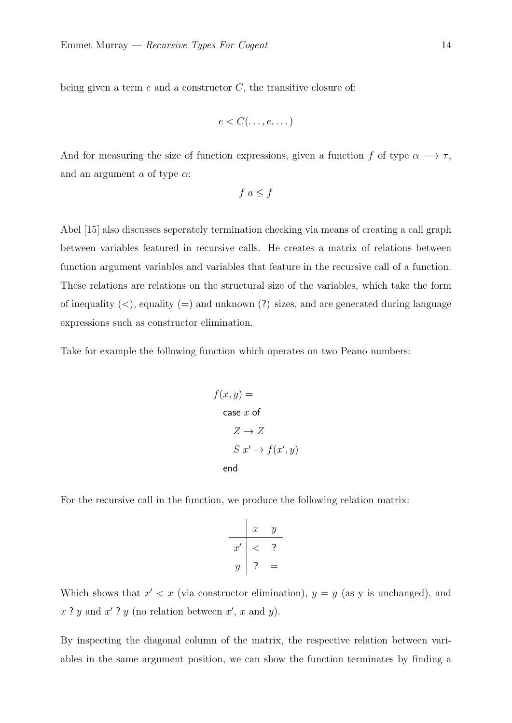being given a term  $e$  and a constructor  $C$ , the transitive closure of:

$$
e < C(\ldots, e, \ldots)
$$

And for measuring the size of function expressions, given a function f of type  $\alpha \longrightarrow \tau$ , and an argument a of type  $\alpha$ :

$$
f \ a \le f
$$

Abel [\[15\]](#page-41-5) also discusses seperately termination checking via means of creating a call graph between variables featured in recursive calls. He creates a matrix of relations between function argument variables and variables that feature in the recursive call of a function. These relations are relations on the structural size of the variables, which take the form of inequality  $(\leq)$ , equality  $(=)$  and unknown  $(?)$  sizes, and are generated during language expressions such as constructor elimination.

Take for example the following function which operates on two Peano numbers:

$$
f(x, y) =
$$
  
\n
$$
\csc x \text{ of}
$$
  
\n
$$
Z \to Z
$$
  
\n
$$
S x' \to f(x', y)
$$
  
\n
$$
\text{end}
$$

For the recursive call in the function, we produce the following relation matrix:

$$
\begin{array}{c|cc}\n & x & y \\
\hline\nx' & & & \\
y & & & \\
\end{array}
$$

Which shows that  $x' < x$  (via constructor elimination),  $y = y$  (as y is unchanged), and  $x$ ?  $y$  and  $x'$ ?  $y$  (no relation between  $x'$ ,  $x$  and  $y$ ).

By inspecting the diagonal column of the matrix, the respective relation between variables in the same argument position, we can show the function terminates by finding a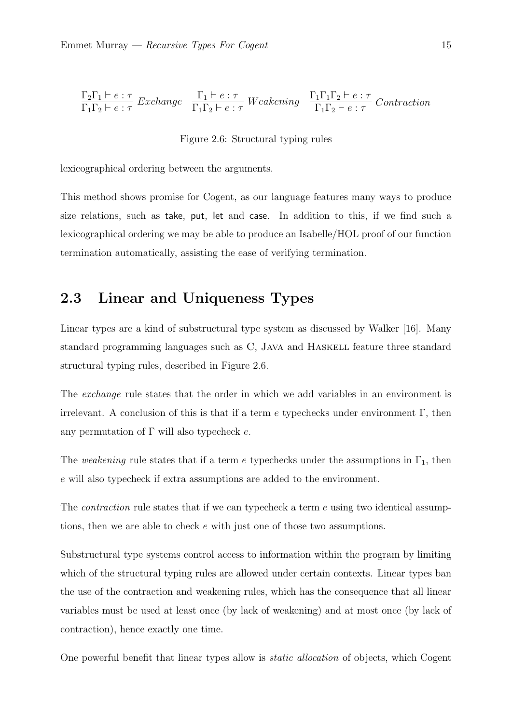<span id="page-19-1"></span>
$$
\frac{\Gamma_2 \Gamma_1 \vdash e : \tau}{\Gamma_1 \Gamma_2 \vdash e : \tau} \text{ Exchange} \quad \frac{\Gamma_1 \vdash e : \tau}{\Gamma_1 \Gamma_2 \vdash e : \tau} \text{ Weakening} \quad \frac{\Gamma_1 \Gamma_1 \Gamma_2 \vdash e : \tau}{\Gamma_1 \Gamma_2 \vdash e : \tau} \text{ contraction}
$$

Figure 2.6: Structural typing rules

lexicographical ordering between the arguments.

This method shows promise for Cogent, as our language features many ways to produce size relations, such as take, put, let and case. In addition to this, if we find such a lexicographical ordering we may be able to produce an Isabelle/HOL proof of our function termination automatically, assisting the ease of verifying termination.

## <span id="page-19-0"></span>2.3 Linear and Uniqueness Types

Linear types are a kind of substructural type system as discussed by Walker [\[16\]](#page-41-6). Many standard programming languages such as C, JAVA and HASKELL feature three standard structural typing rules, described in [Figure 2.6.](#page-19-1)

The *exchange* rule states that the order in which we add variables in an environment is irrelevant. A conclusion of this is that if a term  $e$  typechecks under environment  $\Gamma$ , then any permutation of  $\Gamma$  will also typecheck e.

The weakening rule states that if a term e typechecks under the assumptions in  $\Gamma_1$ , then e will also typecheck if extra assumptions are added to the environment.

The *contraction* rule states that if we can typecheck a term  $e$  using two identical assumptions, then we are able to check e with just one of those two assumptions.

Substructural type systems control access to information within the program by limiting which of the structural typing rules are allowed under certain contexts. Linear types ban the use of the contraction and weakening rules, which has the consequence that all linear variables must be used at least once (by lack of weakening) and at most once (by lack of contraction), hence exactly one time.

One powerful benefit that linear types allow is static allocation of objects, which Cogent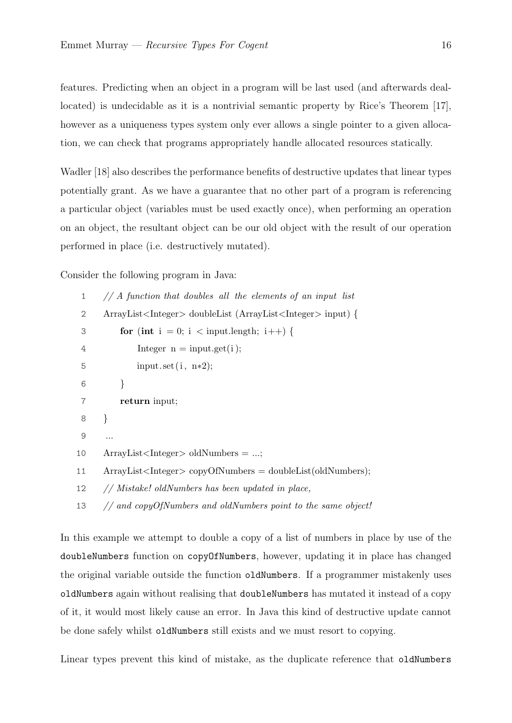features. Predicting when an object in a program will be last used (and afterwards deallocated) is undecidable as it is a nontrivial semantic property by Rice's Theorem [\[17\]](#page-41-7), however as a uniqueness types system only ever allows a single pointer to a given allocation, we can check that programs appropriately handle allocated resources statically.

Wadler [\[18\]](#page-41-8) also describes the performance benefits of destructive updates that linear types potentially grant. As we have a guarantee that no other part of a program is referencing a particular object (variables must be used exactly once), when performing an operation on an object, the resultant object can be our old object with the result of our operation performed in place (i.e. destructively mutated).

Consider the following program in Java:

| 1  | $//$ A function that doubles all the elements of an input list                   |  |
|----|----------------------------------------------------------------------------------|--|
| 2  | ArrayList <integer> doubleList (ArrayList <integer> input) {</integer></integer> |  |
| 3  | for (int i = 0; i < input.length; i++) {                                         |  |
| 4  | Integer $n = input.get(i);$                                                      |  |
| 5  | input.set $(i, n*2)$ ;                                                           |  |
| 6  | }                                                                                |  |
| 7  | return input;                                                                    |  |
| 8  | $\}$                                                                             |  |
| 9  | .                                                                                |  |
| 10 | $ArrayList < Integer > oldNumbers = ;$                                           |  |
| 11 | $ArrayList < Integer > copyOfNumbers = doubleList(oldNumbers);$                  |  |
| 12 | // Mistake! oldNumbers has been updated in place,                                |  |
| 13 | // and copyOfNumbers and oldNumbers point to the same object!                    |  |

In this example we attempt to double a copy of a list of numbers in place by use of the doubleNumbers function on copyOfNumbers, however, updating it in place has changed the original variable outside the function oldNumbers. If a programmer mistakenly uses oldNumbers again without realising that doubleNumbers has mutated it instead of a copy of it, it would most likely cause an error. In Java this kind of destructive update cannot be done safely whilst oldNumbers still exists and we must resort to copying.

Linear types prevent this kind of mistake, as the duplicate reference that oldNumbers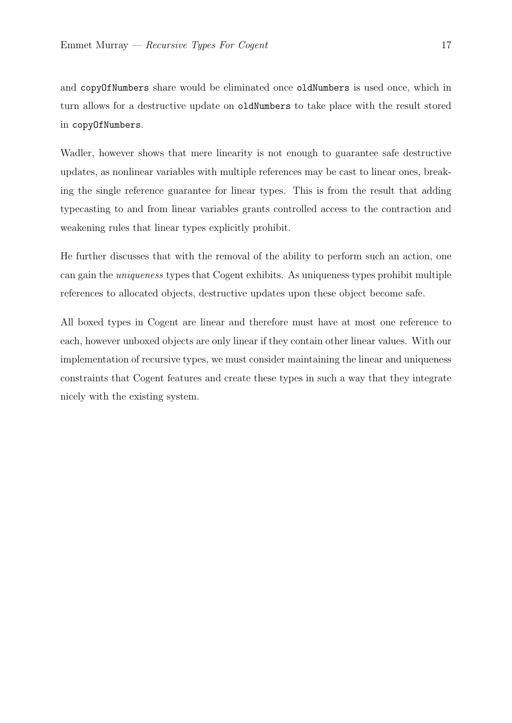and copyOfNumbers share would be eliminated once oldNumbers is used once, which in turn allows for a destructive update on oldNumbers to take place with the result stored in copyOfNumbers.

Wadler, however shows that mere linearity is not enough to guarantee safe destructive updates, as nonlinear variables with multiple references may be cast to linear ones, breaking the single reference guarantee for linear types. This is from the result that adding typecasting to and from linear variables grants controlled access to the contraction and weakening rules that linear types explicitly prohibit.

He further discusses that with the removal of the ability to perform such an action, one can gain the uniqueness types that Cogent exhibits. As uniqueness types prohibit multiple references to allocated objects, destructive updates upon these object become safe.

All boxed types in Cogent are linear and therefore must have at most one reference to each, however unboxed objects are only linear if they contain other linear values. With our implementation of recursive types, we must consider maintaining the linear and uniqueness constraints that Cogent features and create these types in such a way that they integrate nicely with the existing system.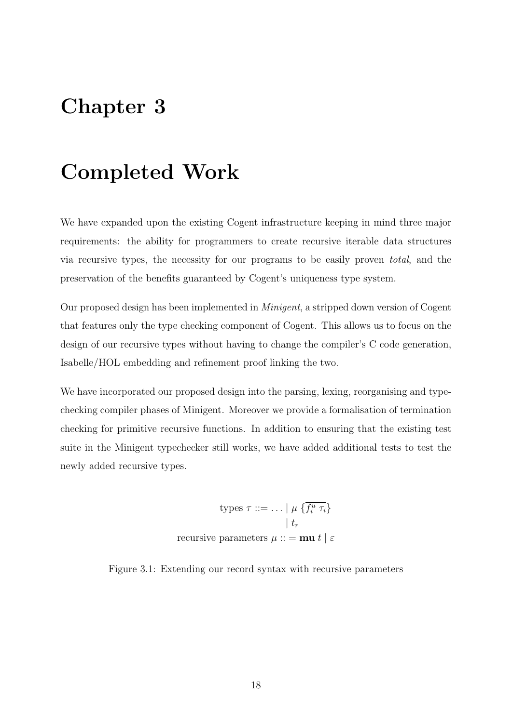## <span id="page-22-0"></span>Chapter 3

## Completed Work

We have expanded upon the existing Cogent infrastructure keeping in mind three major requirements: the ability for programmers to create recursive iterable data structures via recursive types, the necessity for our programs to be easily proven total, and the preservation of the benefits guaranteed by Cogent's uniqueness type system.

Our proposed design has been implemented in Minigent, a stripped down version of Cogent that features only the type checking component of Cogent. This allows us to focus on the design of our recursive types without having to change the compiler's C code generation, Isabelle/HOL embedding and refinement proof linking the two.

<span id="page-22-1"></span>We have incorporated our proposed design into the parsing, lexing, reorganising and typechecking compiler phases of Minigent. Moreover we provide a formalisation of termination checking for primitive recursive functions. In addition to ensuring that the existing test suite in the Minigent typechecker still works, we have added additional tests to test the newly added recursive types.

> types  $\tau ::= \ldots | \mu \left\{ \overline{f_i^u \tau_i} \right\}$  $| t_r |$ recursive parameters  $\mu ::= \mathbf{m} \mathbf{u} t \mid \varepsilon$

<span id="page-22-2"></span>Figure 3.1: Extending our record syntax with recursive parameters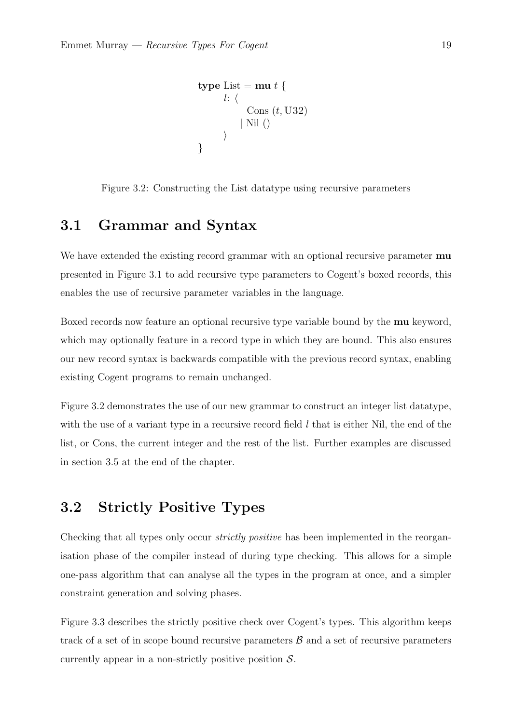```
type List = mu t {
       l: \langleCons (t, U32)| Nil ()
       \rangle}
```
<span id="page-23-1"></span>Figure 3.2: Constructing the List datatype using recursive parameters

### 3.1 Grammar and Syntax

We have extended the existing record grammar with an optional recursive parameter **mu** presented in [Figure 3.1](#page-22-2) to add recursive type parameters to Cogent's boxed records, this enables the use of recursive parameter variables in the language.

Boxed records now feature an optional recursive type variable bound by the **mu** keyword, which may optionally feature in a record type in which they are bound. This also ensures our new record syntax is backwards compatible with the previous record syntax, enabling existing Cogent programs to remain unchanged.

[Figure 3.2](#page-23-1) demonstrates the use of our new grammar to construct an integer list datatype, with the use of a variant type in a recursive record field  $l$  that is either Nil, the end of the list, or Cons, the current integer and the rest of the list. Further examples are discussed in [section 3.5](#page-28-1) at the end of the chapter.

## <span id="page-23-0"></span>3.2 Strictly Positive Types

Checking that all types only occur *strictly positive* has been implemented in the reorganisation phase of the compiler instead of during type checking. This allows for a simple one-pass algorithm that can analyse all the types in the program at once, and a simpler constraint generation and solving phases.

[Figure 3.3](#page-24-1) describes the strictly positive check over Cogent's types. This algorithm keeps track of a set of in scope bound recursive parameters  $\beta$  and a set of recursive parameters currently appear in a non-strictly positive position  $S$ .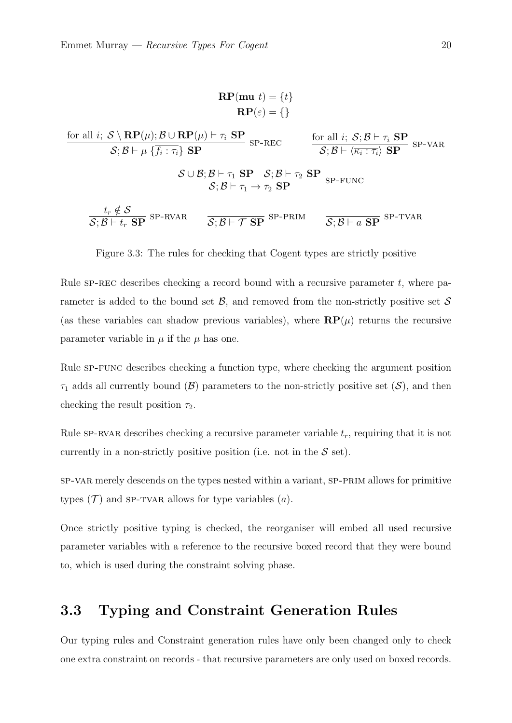$$
RP(mu t) = \{t\}
$$

$$
RP(\varepsilon) = \{\}
$$

<span id="page-24-1"></span>for all *i*; 
$$
S \setminus \text{RP}(\mu)
$$
;  $B \cup \text{RP}(\mu) \vdash \tau_i$  SP  
\n $S; B \vdash \mu \{ \overline{f_i : \tau_i} \}$  SP  
\n $\frac{S \cup B; B \vdash \tau_1$  SP  
\n $S; B \vdash \tau_1$  SP  
\n $S; B \vdash \tau_1$  SP  
\n $S; B \vdash \tau_1 \rightarrow \tau_2$  SP  
\n $\frac{t_r \notin S}{S; B \vdash t_r$  SP  
\n $\frac{S \cup B; B \vdash \tau_1 \rightarrow \tau_2$  SP  
\n $\frac{S \vdash \tau_1 \rightarrow \tau_2}{S; B \vdash \tau_1 \rightarrow \tau_2}$  SP  
\n $\frac{S \vdash \tau_1}{S; B \vdash t_r}$  SP  
\n $\frac{S \vdash \tau_1}{S; B \vdash \tau_1}$  SP  
\n $\frac{S \vdash \tau_1}{S; B \vdash \tau_1}$  SP  
\n $\frac{S \vdash \tau_1}{S; B \vdash \tau_1}$  SP  
\n $\frac{S \vdash \tau_1}{S; B \vdash \tau_1}$  SP  
\n $\frac{S \vdash \tau_1}{S; B \vdash \tau_1}$  SP  
\n $\frac{S \vdash \tau_1}{S \vdash \tau_1}$  SP  
\n $\frac{S \vdash \tau_1}{S \vdash \tau_1}$  SP  
\n $\frac{S \vdash \tau_1}{S \vdash \tau_1}$  SP  
\n $\frac{S \vdash \tau_1}{S \vdash \tau_1}$  SP  
\n $\frac{S \vdash \tau_1}{S \vdash \tau_1}$  SP  
\n $\frac{S \vdash \tau_1}{S \vdash \tau_1}$  SP  
\n $\frac{S \vdash \tau_1}{S \vdash \tau_1}$  SP  
\n $\frac{S \vdash \tau_1}{S \vdash \tau_1}$  SP  
\n $\frac{S \vdash \tau_1}{S \vdash \tau_1}$  SP  
\n $\frac{S \vdash \tau_1}{S \vdash \tau_1}$  SP  
\n $\frac{S \vdash \tau_1}{S \vdash \tau_1$ 

Figure 3.3: The rules for checking that Cogent types are strictly positive

Rule  $SP-REC$  describes checking a record bound with a recursive parameter t, where parameter is added to the bound set  $\mathcal{B}$ , and removed from the non-strictly positive set  $\mathcal{S}$ (as these variables can shadow previous variables), where  $\mathbf{RP}(\mu)$  returns the recursive parameter variable in  $\mu$  if the  $\mu$  has one.

Rule SP-FUNC describes checking a function type, where checking the argument position  $\tau_1$  adds all currently bound  $(\mathcal{B})$  parameters to the non-strictly positive set  $(\mathcal{S})$ , and then checking the result position  $\tau_2$ .

Rule SP-RVAR describes checking a recursive parameter variable  $t_r$ , requiring that it is not currently in a non-strictly positive position (i.e. not in the  $S$  set).

sp-var merely descends on the types nested within a variant, sp-prim allows for primitive types  $(\mathcal{T})$  and SP-TVAR allows for type variables  $(a)$ .

Once strictly positive typing is checked, the reorganiser will embed all used recursive parameter variables with a reference to the recursive boxed record that they were bound to, which is used during the constraint solving phase.

### <span id="page-24-0"></span>3.3 Typing and Constraint Generation Rules

Our typing rules and Constraint generation rules have only been changed only to check one extra constraint on records - that recursive parameters are only used on boxed records.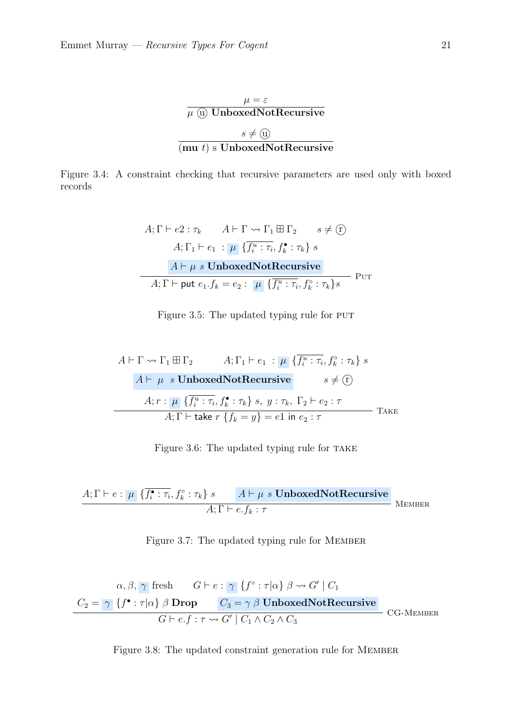

<span id="page-25-1"></span><span id="page-25-0"></span>Figure 3.4: A constraint checking that recursive parameters are used only with boxed records

$$
A; \Gamma \vdash e2 : \tau_k \qquad A \vdash \Gamma \leadsto \Gamma_1 \boxplus \Gamma_2 \qquad s \neq \textcircled{r}
$$
\n
$$
A; \Gamma_1 \vdash e_1 : \mu \{ \overline{f_i^u : \tau_i}, f_k^{\bullet} : \tau_k \} \ s
$$
\n
$$
A \vdash \mu \ s \text{ UnboxedNotRecursive}
$$
\n
$$
A; \Gamma \vdash \text{put } e_1.f_k = e_2 : \mu \{ \overline{f_i^u : \tau_i}, f_k^{\circ} : \tau_k \} s
$$
\n
$$
\text{PUT}
$$

Figure 3.5: The updated typing rule for PUT

<span id="page-25-2"></span>
$$
A \vdash \Gamma \leadsto \Gamma_1 \boxplus \Gamma_2 \qquad A; \Gamma_1 \vdash e_1 \; : \; \mu \{ \overline{f_i^u : \tau_i}, f_k^{\circ} : \tau_k \} \; s
$$
\n
$$
A \vdash \; \mu \; s \; \text{UnboxedNotRecursive} \qquad s \neq \mathbb{C}
$$
\n
$$
A; r : \; \mu \{ \overline{f_i^u : \tau_i}, f_k^{\bullet} : \tau_k \} \; s, \; y : \tau_k, \; \Gamma_2 \vdash e_2 : \tau
$$
\n
$$
A; \Gamma \vdash \text{take } r \{ f_k = y \} = e1 \; \text{in } e_2 : \tau
$$
\n
$$
\text{Take } \Gamma \text{ take } \Gamma \text{ take } \Gamma \text{ take } \Gamma \text{ take } \Gamma \text{ take } \Gamma \text{ take } \Gamma \text{ take } \Gamma \text{ take } \Gamma \text{ take } \Gamma \text{ take } \Gamma \text{ take } \Gamma \text{ take } \Gamma \text{ take } \Gamma \text{ take } \Gamma \text{ take } \Gamma \text{ take } \Gamma \text{ take } \Gamma \text{ take } \Gamma \text{ take } \Gamma \text{ take } \Gamma \text{ take } \Gamma \text{ take } \Gamma \text{ take } \Gamma \text{ take } \Gamma \text{ take } \Gamma \text{ take } \Gamma \text{ take } \Gamma \text{ take } \Gamma \text{ take } \Gamma \text{ take } \Gamma \text{ take } \Gamma \text{ take } \Gamma \text{ take } \Gamma \text{ take } \Gamma \text{ take } \Gamma \text{ take } \Gamma \text{ take } \Gamma \text{ take } \Gamma \text{ take } \Gamma \text{ take } \Gamma \text{ take } \Gamma \text{ take } \Gamma \text{ take } \Gamma \text{ take } \Gamma \text{ take } \Gamma \text{ take } \Gamma \text{ take } \Gamma \text{ take } \Gamma \text{ take } \Gamma \text{ take } \Gamma \text{ take } \Gamma \text{ take } \Gamma \text{ take } \Gamma \text{ take } \Gamma \text{ take } \Gamma \text{ take } \Gamma \text{ take } \Gamma \text{ take } \Gamma \text{ take } \Gamma \text{ take } \Gamma \text{ take } \Gamma \text{ take } \Gamma \text{ take } \Gamma \text{ take } \Gamma \text{ take } \Gamma \text{ take } \Gamma \text{ take } \Gamma \text{ take } \Gamma \text{ take } \Gamma \text{ take } \Gamma \text{ take } \Gamma \text{ take } \Gamma \text{ take }
$$

Figure 3.6: The updated typing rule for TAKE

<span id="page-25-3"></span>
$$
\frac{A;\Gamma\vdash e:\mu \{\overline{f_i^\bullet:\tau_i},f_k^\circ:\tau_k\}\ s \qquad A\vdash \mu\ s\ \textbf{UnboxedNotRecursive}}{A;\Gamma\vdash e.f_k:\tau} \text{MEMBER}
$$

Figure 3.7: The updated typing rule for Member

<span id="page-25-4"></span>
$$
\alpha, \beta, \gamma \text{ fresh} \qquad G \vdash e : \gamma \{f^{\circ} : \tau | \alpha\} \beta \leadsto G' \mid C_1
$$
\n
$$
C_2 = \gamma \{f^{\bullet} : \tau | \alpha\} \beta \text{ Drop} \qquad C_3 = \gamma \beta \text{ UnboxedNotRecursive}
$$
\n
$$
G \vdash e.f : \tau \leadsto G' \mid C_1 \land C_2 \land C_3
$$
\n
$$
CG\text{-MEMBER}
$$

Figure 3.8: The updated constraint generation rule for MEMBER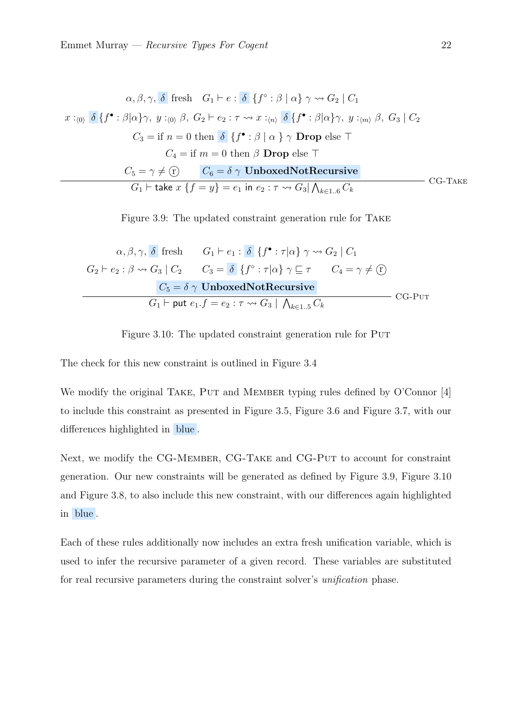<span id="page-26-1"></span>
$$
\alpha, \beta, \gamma, \delta \text{ fresh } G_1 \vdash e : \delta \{ f^{\circ} : \beta \mid \alpha \} \gamma \rightsquigarrow G_2 \mid C_1
$$
  

$$
x :_{\langle 0 \rangle} \delta \{ f^{\bullet} : \beta \mid \alpha \} \gamma, y :_{\langle 0 \rangle} \beta, G_2 \vdash e_2 : \tau \rightsquigarrow x :_{\langle n \rangle} \delta \{ f^{\bullet} : \beta \mid \alpha \} \gamma, y :_{\langle m \rangle} \beta, G_3 \mid C_2
$$
  

$$
C_3 = \text{if } n = 0 \text{ then } \delta \{ f^{\bullet} : \beta \mid \alpha \} \gamma \text{ Drop else } \top
$$
  

$$
C_4 = \text{if } m = 0 \text{ then } \beta \text{ Drop else } \top
$$
  

$$
C_5 = \gamma \neq \textcircled{r} \qquad C_6 = \delta \gamma \text{UnboxedNotRecursive}
$$
  

$$
G_1 \vdash \text{take } x \{ f = y \} = e_1 \text{ in } e_2 : \tau \rightsquigarrow G_3 \mid \bigwedge_{k \in 1..6} C_k
$$
 CG-TAKE

Figure 3.9: The updated constraint generation rule for Take

<span id="page-26-2"></span>
$$
\alpha, \beta, \gamma, \delta \text{ fresh} \qquad G_1 \vdash e_1 : \delta \{ f^{\bullet} : \tau | \alpha \} \gamma \rightsquigarrow G_2 \mid C_1
$$
  

$$
G_2 \vdash e_2 : \beta \rightsquigarrow G_3 \mid C_2 \qquad C_3 = \delta \{ f^{\circ} : \tau | \alpha \} \gamma \sqsubseteq \tau \qquad C_4 = \gamma \neq \textcircled{T}
$$
  

$$
C_5 = \delta \gamma \text{UnboxedNotRecursive}
$$
  

$$
G_1 \vdash \text{put } e_1.f = e_2 : \tau \rightsquigarrow G_3 \mid \bigwedge_{k \in 1..5} C_k
$$
 CG-PUT

Figure 3.10: The updated constraint generation rule for PUT

The check for this new constraint is outlined in [Figure 3.4](#page-25-0)

We modify the original TAKE, PUT and MEMBER typing rules defined by O'Connor [\[4\]](#page-40-3) to include this constraint as presented in [Figure 3.5,](#page-25-1) [Figure 3.6](#page-25-2) and [Figure 3.7,](#page-25-3) with our differences highlighted in blue .

Next, we modify the CG-MEMBER, CG-TAKE and CG-PUT to account for constraint generation. Our new constraints will be generated as defined by [Figure 3.9,](#page-26-1) [Figure 3.10](#page-26-2) and [Figure 3.8,](#page-25-4) to also include this new constraint, with our differences again highlighted in blue .

<span id="page-26-0"></span>Each of these rules additionally now includes an extra fresh unification variable, which is used to infer the recursive parameter of a given record. These variables are substituted for real recursive parameters during the constraint solver's unification phase.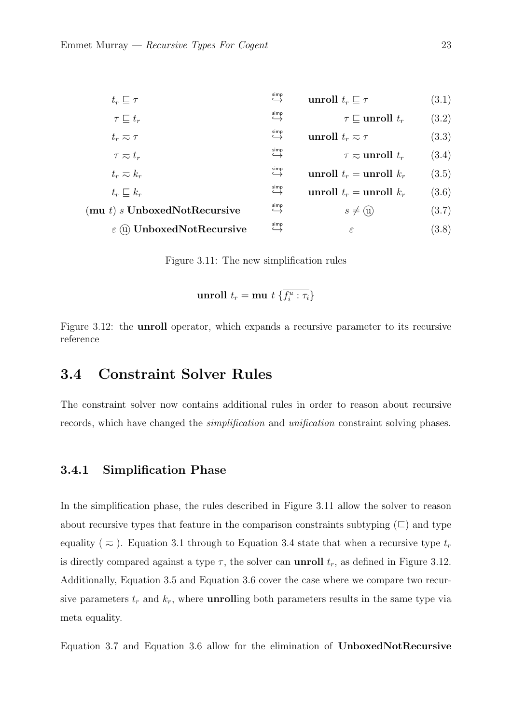<span id="page-27-1"></span>

| $t_r\sqsubseteq \tau$                                | simp                        | unroll $t_r \sqsubseteq \tau$ | (3.1) |
|------------------------------------------------------|-----------------------------|-------------------------------|-------|
| $\tau \sqsubset t_r$                                 | simp<br>اے                  | $\tau \sqsubset$ unroll $t_r$ | (3.2) |
| $t_r \eqsim \tau$                                    | simp                        | unroll $t_r \approx \tau$     | (3.3) |
| $\tau \eqsim t_r$                                    | simp<br>$\hookrightarrow$   | $\tau \approx$ unroll $t_r$   | (3.4) |
| $t_r \thickapprox k_r$                               | $\xrightarrow{\text{simp}}$ | unroll $t_r =$ unroll $k_r$   | (3.5) |
| $t_r \sqsubset k_r$                                  | simp<br>$\hookrightarrow$   | unroll $t_r =$ unroll $k_r$   | (3.6) |
| $(\mathbf{m}\mathbf{u} \ t) \ s$ UnboxedNotRecursive | simp                        | $s \neq (u)$                  | (3.7) |
| $\varepsilon$ (ii) UnboxedNotRecursive               | simp                        | $\varepsilon$                 | (3.8) |
|                                                      |                             |                               |       |

Figure 3.11: The new simplification rules

<span id="page-27-7"></span><span id="page-27-6"></span><span id="page-27-5"></span><span id="page-27-3"></span><span id="page-27-2"></span>unroll 
$$
t_r = \text{mu } t \{ \overline{f_i^u : \tau_i} \}
$$

<span id="page-27-4"></span>Figure 3.12: the unroll operator, which expands a recursive parameter to its recursive reference

### 3.4 Constraint Solver Rules

<span id="page-27-0"></span>The constraint solver now contains additional rules in order to reason about recursive records, which have changed the simplification and unification constraint solving phases.

#### 3.4.1 Simplification Phase

In the simplification phase, the rules described in [Figure 3.11](#page-27-1) allow the solver to reason about recursive types that feature in the comparison constraints subtyping  $(\sqsubseteq)$  and type equality ( $\approx$ ). [Equation 3.1](#page-27-2) through to [Equation 3.4](#page-27-3) state that when a recursive type  $t_r$ is directly compared against a type  $\tau$ , the solver can **unroll**  $t_r$ , as defined in [Figure 3.12.](#page-27-4) Additionally, [Equation 3.5](#page-27-5) and [Equation 3.6](#page-27-6) cover the case where we compare two recursive parameters  $t_r$  and  $k_r$ , where **unrolling** both parameters results in the same type via meta equality.

[Equation 3.7](#page-27-7) and [Equation 3.6](#page-27-6) allow for the elimination of UnboxedNotRecursive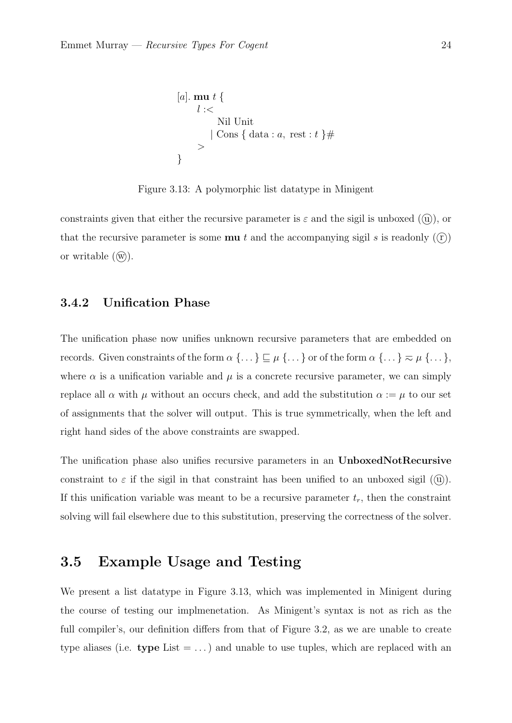<span id="page-28-2"></span>
$$
[a]. \mathbf{mu} \ t \ \{ \newline \newline l :=\n \quad \text{Nil Unit} \ \quad |\text{Cons } \{\text{data} : a, \text{ rest} : t \} \# \ \quad \text{?}
$$

Figure 3.13: A polymorphic list datatype in Minigent

constraints given that either the recursive parameter is  $\varepsilon$  and the sigil is unboxed ((u)), or that the recursive parameter is some **mu** t and the accompanying sigil s is readonly  $((r))$ or writable  $(\widehat{w})$ .

#### <span id="page-28-0"></span>3.4.2 Unification Phase

The unification phase now unifies unknown recursive parameters that are embedded on records. Given constraints of the form  $\alpha \, \{\dots\} \sqsubseteq \mu \, \{\dots\}$  or of the form  $\alpha \, \{\dots\} \eqsim \mu \, \{\dots\},$ where  $\alpha$  is a unification variable and  $\mu$  is a concrete recursive parameter, we can simply replace all  $\alpha$  with  $\mu$  without an occurs check, and add the substitution  $\alpha := \mu$  to our set of assignments that the solver will output. This is true symmetrically, when the left and right hand sides of the above constraints are swapped.

The unification phase also unifies recursive parameters in an UnboxedNotRecursive constraint to  $\varepsilon$  if the sigil in that constraint has been unified to an unboxed sigil ( $\alpha$ )). If this unification variable was meant to be a recursive parameter  $t_r$ , then the constraint solving will fail elsewhere due to this substitution, preserving the correctness of the solver.

### <span id="page-28-1"></span>3.5 Example Usage and Testing

We present a list datatype in [Figure 3.13,](#page-28-2) which was implemented in Minigent during the course of testing our implmenetation. As Minigent's syntax is not as rich as the full compiler's, our definition differs from that of [Figure 3.2,](#page-23-1) as we are unable to create type aliases (i.e. type List  $= \ldots$ ) and unable to use tuples, which are replaced with an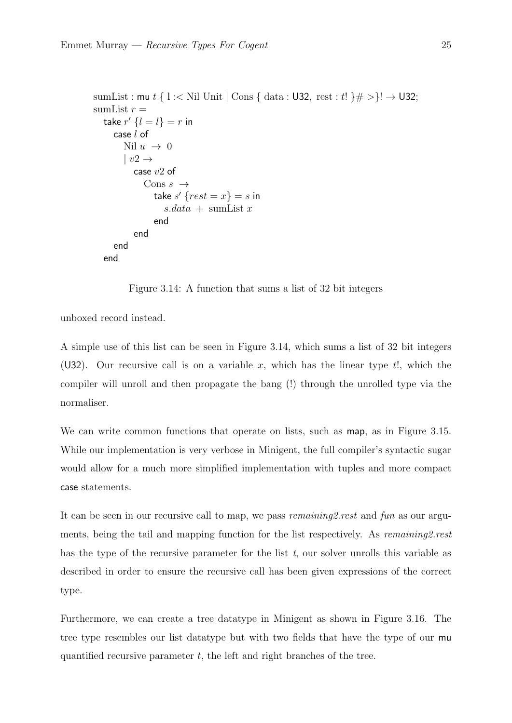```
sumList : mu t \in \mathbb{N}il Unit | Cons \{\text{ data} : \mathsf{U32}, \text{ rest} : t\} \neq \mathsf{I} \rightarrow \mathsf{U32};sumList r =take r' \{l = l\} = r in
      case l of
          Nil u \rightarrow 0| v2 \rightarrowcase v2 of
                Cons s \rightarrowtake s' {rest = x} = s in
                       s.data + \text{sumList } xend
             end
      end
   end
```
Figure 3.14: A function that sums a list of 32 bit integers

unboxed record instead.

A simple use of this list can be seen in [Figure 3.14,](#page-29-1) which sums a list of 32 bit integers (U32). Our recursive call is on a variable x, which has the linear type  $t!$ , which the compiler will unroll and then propagate the bang (!) through the unrolled type via the normaliser.

We can write common functions that operate on lists, such as map, as in [Figure 3.15.](#page-30-0) While our implementation is very verbose in Minigent, the full compiler's syntactic sugar would allow for a much more simplified implementation with tuples and more compact case statements.

It can be seen in our recursive call to map, we pass *remaining2.rest* and fun as our arguments, being the tail and mapping function for the list respectively. As remaining2.rest has the type of the recursive parameter for the list  $t$ , our solver unrolls this variable as described in order to ensure the recursive call has been given expressions of the correct type.

<span id="page-29-0"></span>Furthermore, we can create a tree datatype in Minigent as shown in [Figure 3.16.](#page-30-1) The tree type resembles our list datatype but with two fields that have the type of our mu quantified recursive parameter  $t$ , the left and right branches of the tree.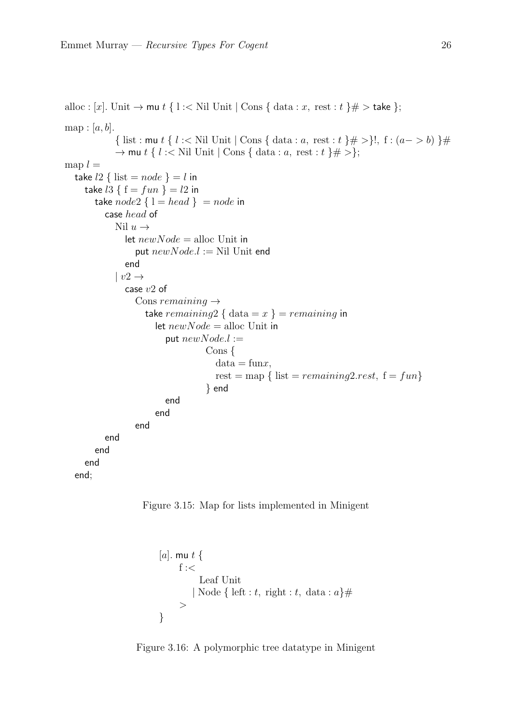```
alloc : [x]. Unit \rightarrow mu t { l :< Nil Unit | Cons { data : x, rest : t } \# > take };
map: [a, b].{ list : mu t { l :< Nil Unit | Cons { data : a, rest : t } \# >}!, f : (a->b) } \#\rightarrow mu t { l :< Nil Unit | Cons { data : a, rest : t }# >};
map l =take l2 \{ list = node \} = l in
     take l3 \{ f = fun \} = l2 in
       take node2 \{ 1 = head \} = node in
          case head of
            Nil u \rightarrowlet newNode = \text{alloc Unit in}put newNode.l := Nil Unit end
               end
            | v2 \rightarrowcase v2 of
                 Cons remaining \rightarrowtake remaining2 { data = x } = remaining in
                       let newNode = \text{alloc Unit in}put newNode. l :=Cons {
                                      data = funx,rest = map { list = remaining2.rest, f = fun}
                                   } end
                         end
                       end
                 end
          end
       end
     end
  end;
```
<span id="page-30-1"></span>

```
[a]. mu t \{f : <Leaf Unit
        | Node { left : t, right : t, data : a\}#
     \geq}
```
Figure 3.16: A polymorphic tree datatype in Minigent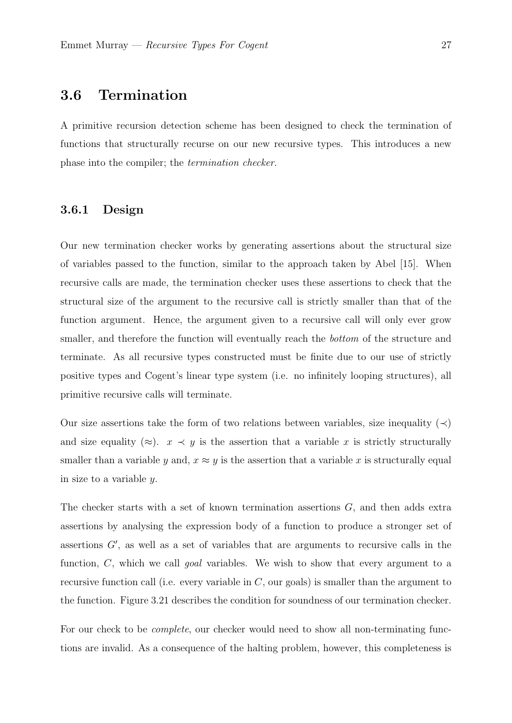### 3.6 Termination

A primitive recursion detection scheme has been designed to check the termination of functions that structurally recurse on our new recursive types. This introduces a new phase into the compiler; the termination checker.

#### <span id="page-31-0"></span>3.6.1 Design

Our new termination checker works by generating assertions about the structural size of variables passed to the function, similar to the approach taken by Abel [\[15\]](#page-41-5). When recursive calls are made, the termination checker uses these assertions to check that the structural size of the argument to the recursive call is strictly smaller than that of the function argument. Hence, the argument given to a recursive call will only ever grow smaller, and therefore the function will eventually reach the bottom of the structure and terminate. As all recursive types constructed must be finite due to our use of strictly positive types and Cogent's linear type system (i.e. no infinitely looping structures), all primitive recursive calls will terminate.

Our size assertions take the form of two relations between variables, size inequality ( $\prec$ ) and size equality ( $\approx$ ).  $x \prec y$  is the assertion that a variable x is strictly structurally smaller than a variable y and,  $x \approx y$  is the assertion that a variable x is structurally equal in size to a variable y.

The checker starts with a set of known termination assertions G, and then adds extra assertions by analysing the expression body of a function to produce a stronger set of assertions  $G'$ , as well as a set of variables that are arguments to recursive calls in the function, C, which we call *goal* variables. We wish to show that every argument to a recursive function call (i.e. every variable in  $C$ , our goals) is smaller than the argument to the function. [Figure 3.21](#page-35-0) describes the condition for soundness of our termination checker.

For our check to be *complete*, our checker would need to show all non-terminating functions are invalid. As a consequence of the halting problem, however, this completeness is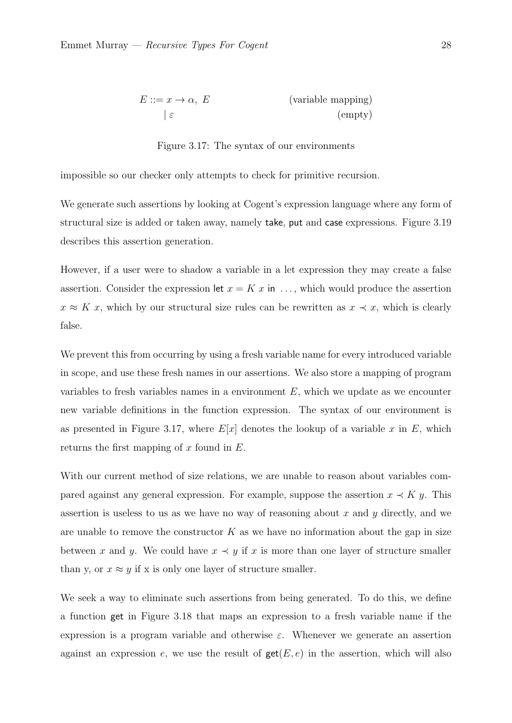<span id="page-32-0"></span>
$$
E ::= x \to \alpha, \ E \qquad \qquad \text{(variable mapping)}
$$
\n
$$
\varepsilon \qquad \qquad \text{(empty)}
$$

Figure 3.17: The syntax of our environments

impossible so our checker only attempts to check for primitive recursion.

We generate such assertions by looking at Cogent's expression language where any form of structural size is added or taken away, namely take, put and case expressions. [Figure 3.19](#page-34-0) describes this assertion generation.

However, if a user were to shadow a variable in a let expression they may create a false assertion. Consider the expression let  $x = K x$  in ..., which would produce the assertion  $x \approx K x$ , which by our structural size rules can be rewritten as  $x \prec x$ , which is clearly false.

We prevent this from occurring by using a fresh variable name for every introduced variable in scope, and use these fresh names in our assertions. We also store a mapping of program variables to fresh variables names in a environment  $E$ , which we update as we encounter new variable definitions in the function expression. The syntax of our environment is as presented in [Figure 3.17,](#page-32-0) where  $E[x]$  denotes the lookup of a variable x in E, which returns the first mapping of x found in  $E$ .

With our current method of size relations, we are unable to reason about variables compared against any general expression. For example, suppose the assertion  $x \prec K y$ . This assertion is useless to us as we have no way of reasoning about  $x$  and  $y$  directly, and we are unable to remove the constructor  $K$  as we have no information about the gap in size between x and y. We could have  $x \prec y$  if x is more than one layer of structure smaller than y, or  $x \approx y$  if x is only one layer of structure smaller.

We seek a way to eliminate such assertions from being generated. To do this, we define a function get in [Figure 3.18](#page-33-0) that maps an expression to a fresh variable name if the expression is a program variable and otherwise  $\varepsilon$ . Whenever we generate an assertion against an expression e, we use the result of  $\textsf{get}(E, e)$  in the assertion, which will also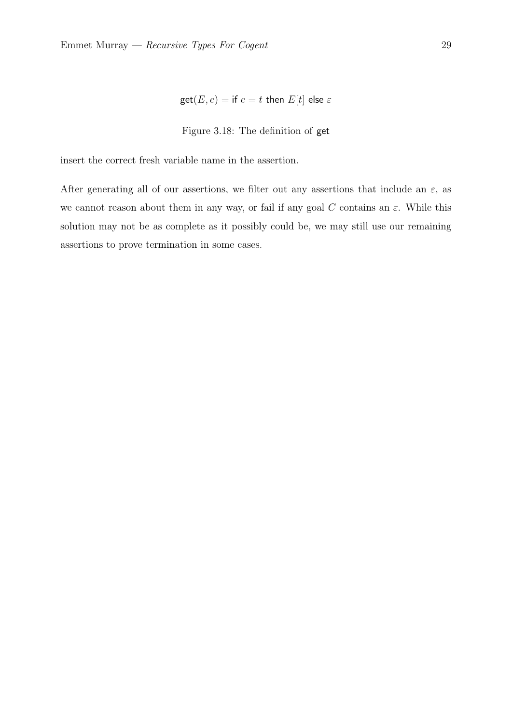$$
\text{get}(E, e) = \text{if } e = t \text{ then } E[t] \text{ else } \varepsilon
$$

#### Figure 3.18: The definition of get

<span id="page-33-0"></span>insert the correct fresh variable name in the assertion.

After generating all of our assertions, we filter out any assertions that include an  $\varepsilon$ , as we cannot reason about them in any way, or fail if any goal C contains an  $\varepsilon$ . While this solution may not be as complete as it possibly could be, we may still use our remaining assertions to prove termination in some cases.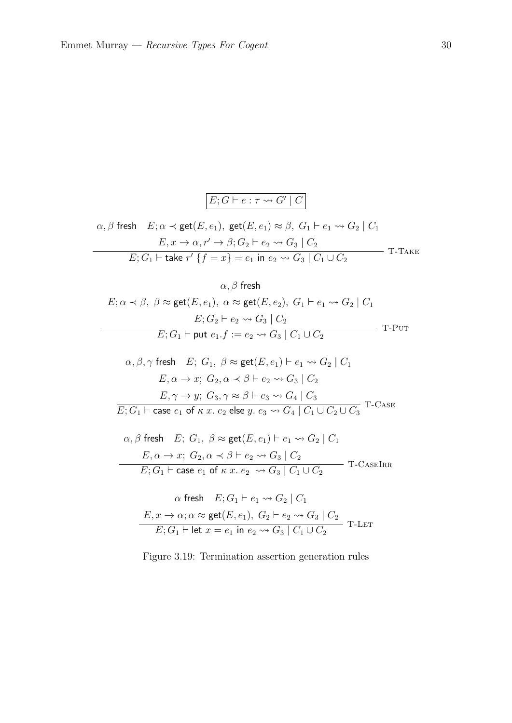

<span id="page-34-0"></span>
$$
\alpha, \beta \text{ fresh } E; \alpha \prec \text{get}(E, e_1), \text{ get}(E, e_1) \approx \beta, G_1 \vdash e_1 \leadsto G_2 \mid C_1
$$
  
\n
$$
E, x \to \alpha, r' \to \beta; G_2 \vdash e_2 \leadsto G_3 \mid C_2
$$
  
\n
$$
E; G_1 \vdash \text{take } r' \{f = x\} = e_1 \text{ in } e_2 \leadsto G_3 \mid C_1 \cup C_2
$$
 T-TAKE

 $\alpha, \beta$  fresh

$$
E; \alpha \prec \beta, \ \beta \approx \text{get}(E, e_1), \ \alpha \approx \text{get}(E, e_2), \ G_1 \vdash e_1 \leadsto G_2 \mid C_1
$$
\n
$$
E; G_2 \vdash e_2 \leadsto G_3 \mid C_2
$$
\n
$$
E; G_1 \vdash \text{put } e_1.f := e_2 \leadsto G_3 \mid C_1 \cup C_2
$$
\nT-PUT

$$
\alpha, \beta, \gamma \text{ fresh } E; G_1, \beta \approx \text{get}(E, e_1) \vdash e_1 \leadsto G_2 \mid C_1
$$
  
\n
$$
E, \alpha \to x; G_2, \alpha \prec \beta \vdash e_2 \leadsto G_3 \mid C_2
$$
  
\n
$$
E, \gamma \to y; G_3, \gamma \approx \beta \vdash e_3 \leadsto G_4 \mid C_3
$$
  
\n
$$
E; G_1 \vdash \text{case } e_1 \text{ of } \kappa \ x. e_2 \text{ else } y. e_3 \leadsto G_4 \mid C_1 \cup C_2 \cup C_3
$$
 T-CASE

$$
\alpha, \beta \text{ fresh} \quad E; \ G_1, \ \beta \approx \text{get}(E, e_1) \vdash e_1 \leadsto G_2 \mid C_1
$$
\n
$$
E, \alpha \to x; \ G_2, \alpha \prec \beta \vdash e_2 \leadsto G_3 \mid C_2
$$
\n
$$
E; G_1 \vdash \text{case } e_1 \text{ of } \kappa \ x. \ e_2 \leadsto G_3 \mid C_1 \cup C_2
$$
\nT-CASEIRR

$$
\alpha \text{ fresh} \quad E; G_1 \vdash e_1 \leadsto G_2 \mid C_1
$$
\n
$$
E, x \to \alpha; \alpha \approx \text{get}(E, e_1), \ G_2 \vdash e_2 \leadsto G_3 \mid C_2
$$
\n
$$
E; G_1 \vdash \text{let } x = e_1 \text{ in } e_2 \leadsto G_3 \mid C_1 \cup C_2
$$
\nT-LET

Figure 3.19: Termination assertion generation rules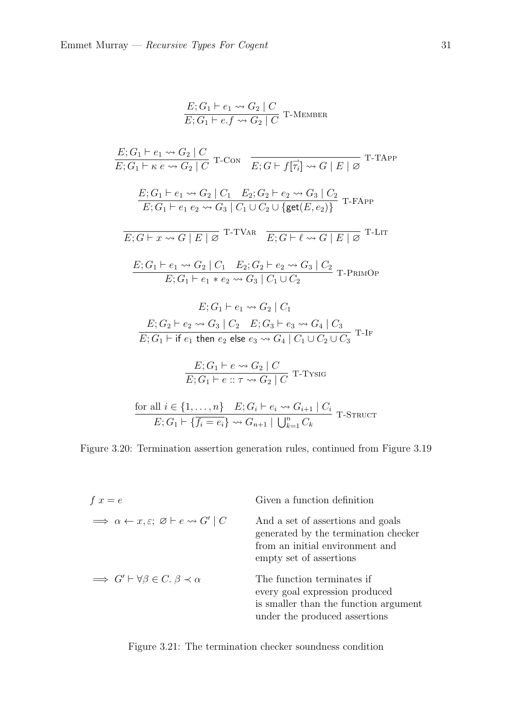$$
\frac{E; G_1 \vdash e_1 \leadsto G_2 \mid C}{E; G_1 \vdash e.f \leadsto G_2 \mid C} \text{ T-Member}
$$

$$
\frac{E; G_1 \vdash e_1 \leadsto G_2 \mid C}{E; G_1 \vdash \kappa e \leadsto G_2 \mid C} \text{ T-CON} \quad \frac{}{E; G \vdash f[\overrightarrow{\tau_i}] \leadsto G \mid E \mid \varnothing} \text{ T-TAPP}
$$
\n
$$
\frac{E; G_1 \vdash e_1 \leadsto G_2 \mid C_1 \quad E_2; G_2 \vdash e_2 \leadsto G_3 \mid C_2}{E; G_1 \vdash e_1 e_2 \leadsto G_3 \mid C_1 \cup C_2 \cup \{ \text{get}(E, e_2) \}} \text{ T-FAPP}
$$
\n
$$
\frac{}{E; G \vdash x \leadsto G \mid E \mid \varnothing} \text{ T-TVAR} \quad \frac{}{E; G \vdash \ell \leadsto G \mid E \mid \varnothing} \text{ T-LIT}
$$
\n
$$
\frac{E; G_1 \vdash e_1 \leadsto G_2 \mid C_1 \quad E_2; G_2 \vdash e_2 \leadsto G_3 \mid C_2}{E; G_1 \vdash e_1 * e_2 \leadsto G_3 \mid C_1 \cup C_2} \text{ T-PRIMOP}
$$
\n
$$
E; G_1 \vdash e_1 \leadsto G_2 \mid C_1
$$
\n
$$
\frac{E; G_2 \vdash e_2 \leadsto G_3 \mid C_2 \quad E; G_3 \vdash e_3 \leadsto G_4 \mid C_3}{E; G_1 \vdash \text{ if } e_1 \text{ then } e_2 \text{ else } e_3 \leadsto G_4 \mid C_1 \cup C_2 \cup C_3} \text{ T-IF}
$$
\n
$$
\frac{E; G_1 \vdash e \leadsto G_2 \mid C}{E; G_1 \vdash e \colon \tau \leadsto G_2 \mid C} \text{ T-TY SIG}
$$
\nfor all  $i \in \{1, ..., n\}$   $E; G_i \vdash e_i \leadsto G_{i+1} \mid C_i$   $\frac{}{\text{STRUCT}}$ 

Figure 3.20: Termination assertion generation rules, continued from [Figure 3.19](#page-34-0)

<span id="page-35-0"></span>

| $f x = e$                                                                                 | Given a function definition                                                                                                             |
|-------------------------------------------------------------------------------------------|-----------------------------------------------------------------------------------------------------------------------------------------|
| $\Rightarrow \alpha \leftarrow x, \varepsilon; \ \varnothing \vdash e \leadsto G' \mid C$ | And a set of assertions and goals<br>generated by the termination checker<br>from an initial environment and<br>empty set of assertions |
| $\implies G' \vdash \forall \beta \in C. \ \beta \prec \alpha$                            | The function terminates if<br>every goal expression produced<br>is smaller than the function argument<br>under the produced assertions  |

Figure 3.21: The termination checker soundness condition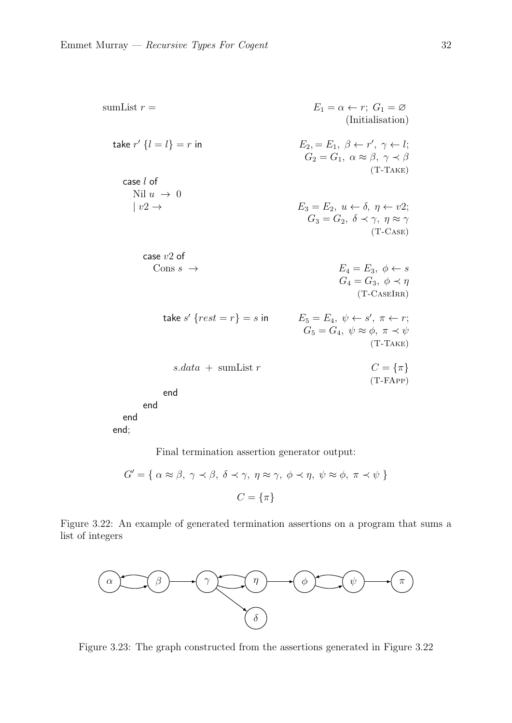<span id="page-36-0"></span>sumList 
$$
r =
$$
  
\n $E_1 = \alpha \leftarrow r$ ;  $G_1 = \varnothing$   
\n $E_2 = E_1, \beta \leftarrow r', \gamma \leftarrow l;$   
\nCase *l* of  
\n $\text{Nil } u \rightarrow 0$   
\n $| v2 \rightarrow$   
\n $E_3 = E_2, u \leftarrow \delta, \eta \leftarrow v2;$   
\n $G_3 = G_2, \delta \leftarrow \gamma, \eta \approx \gamma$   
\n(T-TAKE)  
\nCase *v*2 of  
\n $\text{Cons } s \rightarrow$   
\n $E_4 = E_3, \phi \leftarrow s$   
\n $G_4 = G_3, \phi \leftarrow \eta$   
\n(T-CASEIRR)  
\n $S$ .data + sumList  $r$   
\n $C = \{\pi\}$   
\nend  
\nend  
\nend  
\nend  
\nend  
\nend  
\n $E_5 = E_4, \psi \leftarrow s', \pi \leftarrow r;$   
\n $G_6 = G_4, \psi \approx \phi, \pi \leftarrow \psi$   
\n(T-TAKE)  
\n $\text{S}$  and  
\nend  
\nend  
\nend  
\n $\text{C}$  = {π}  
\n $\pi$   
\n $\text{C}$  = {π}  
\nend  
\nend  
\nend  
\n $\text{C}$ 

Final termination assertion generator output:

$$
G' = \{ \alpha \approx \beta, \ \gamma \prec \beta, \ \delta \prec \gamma, \ \eta \approx \gamma, \ \phi \prec \eta, \ \psi \approx \phi, \ \pi \prec \psi \}
$$

$$
C = \{\pi\}
$$

Figure 3.22: An example of generated termination assertions on a program that sums a list of integers

<span id="page-36-1"></span>

Figure 3.23: The graph constructed from the assertions generated in [Figure 3.22](#page-36-0)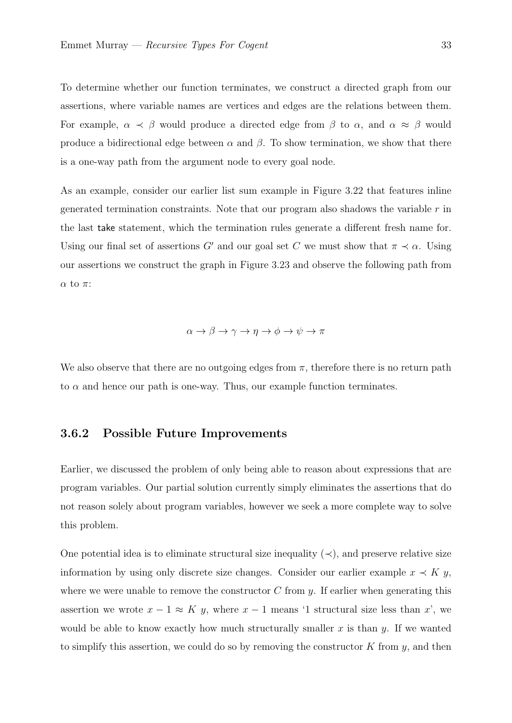To determine whether our function terminates, we construct a directed graph from our assertions, where variable names are vertices and edges are the relations between them. For example,  $\alpha \prec \beta$  would produce a directed edge from  $\beta$  to  $\alpha$ , and  $\alpha \approx \beta$  would produce a bidirectional edge between  $\alpha$  and  $\beta$ . To show termination, we show that there is a one-way path from the argument node to every goal node.

As an example, consider our earlier list sum example in [Figure 3.22](#page-36-0) that features inline generated termination constraints. Note that our program also shadows the variable  $r$  in the last take statement, which the termination rules generate a different fresh name for. Using our final set of assertions G' and our goal set C we must show that  $\pi \prec \alpha$ . Using our assertions we construct the graph in [Figure 3.23](#page-36-1) and observe the following path from α to π:

$$
\alpha \to \beta \to \gamma \to \eta \to \phi \to \psi \to \pi
$$

<span id="page-37-0"></span>We also observe that there are no outgoing edges from  $\pi$ , therefore there is no return path to  $\alpha$  and hence our path is one-way. Thus, our example function terminates.

#### 3.6.2 Possible Future Improvements

Earlier, we discussed the problem of only being able to reason about expressions that are program variables. Our partial solution currently simply eliminates the assertions that do not reason solely about program variables, however we seek a more complete way to solve this problem.

One potential idea is to eliminate structural size inequality  $(\prec)$ , and preserve relative size information by using only discrete size changes. Consider our earlier example  $x \prec K y$ , where we were unable to remove the constructor  $C$  from  $y$ . If earlier when generating this assertion we wrote  $x - 1 \approx K y$ , where  $x - 1$  means '1 structural size less than x', we would be able to know exactly how much structurally smaller x is than  $y$ . If we wanted to simplify this assertion, we could do so by removing the constructor  $K$  from  $y$ , and then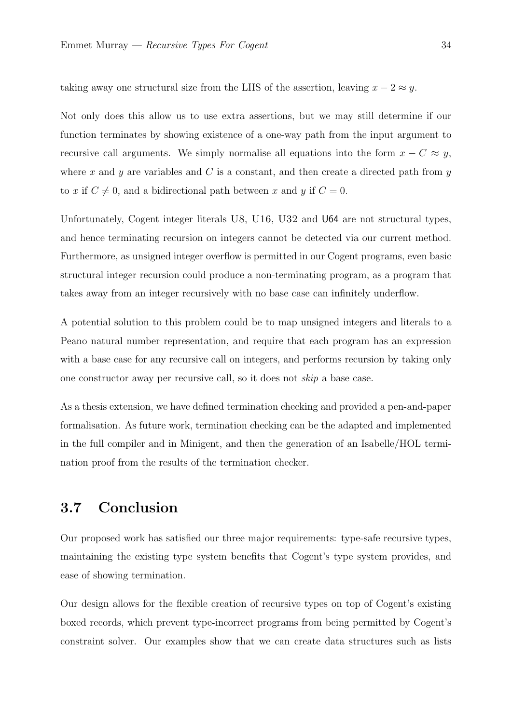taking away one structural size from the LHS of the assertion, leaving  $x - 2 \approx y$ .

Not only does this allow us to use extra assertions, but we may still determine if our function terminates by showing existence of a one-way path from the input argument to recursive call arguments. We simply normalise all equations into the form  $x - C \approx y$ , where x and y are variables and C is a constant, and then create a directed path from  $y$ to x if  $C \neq 0$ , and a bidirectional path between x and y if  $C = 0$ .

Unfortunately, Cogent integer literals U8, U16, U32 and U64 are not structural types, and hence terminating recursion on integers cannot be detected via our current method. Furthermore, as unsigned integer overflow is permitted in our Cogent programs, even basic structural integer recursion could produce a non-terminating program, as a program that takes away from an integer recursively with no base case can infinitely underflow.

A potential solution to this problem could be to map unsigned integers and literals to a Peano natural number representation, and require that each program has an expression with a base case for any recursive call on integers, and performs recursion by taking only one constructor away per recursive call, so it does not skip a base case.

As a thesis extension, we have defined termination checking and provided a pen-and-paper formalisation. As future work, termination checking can be the adapted and implemented in the full compiler and in Minigent, and then the generation of an Isabelle/HOL termination proof from the results of the termination checker.

## <span id="page-38-0"></span>3.7 Conclusion

Our proposed work has satisfied our three major requirements: type-safe recursive types, maintaining the existing type system benefits that Cogent's type system provides, and ease of showing termination.

Our design allows for the flexible creation of recursive types on top of Cogent's existing boxed records, which prevent type-incorrect programs from being permitted by Cogent's constraint solver. Our examples show that we can create data structures such as lists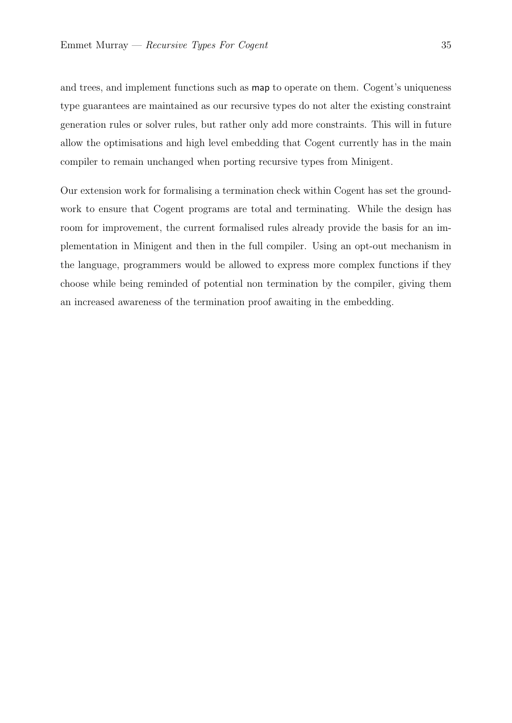and trees, and implement functions such as map to operate on them. Cogent's uniqueness type guarantees are maintained as our recursive types do not alter the existing constraint generation rules or solver rules, but rather only add more constraints. This will in future allow the optimisations and high level embedding that Cogent currently has in the main compiler to remain unchanged when porting recursive types from Minigent.

Our extension work for formalising a termination check within Cogent has set the groundwork to ensure that Cogent programs are total and terminating. While the design has room for improvement, the current formalised rules already provide the basis for an implementation in Minigent and then in the full compiler. Using an opt-out mechanism in the language, programmers would be allowed to express more complex functions if they choose while being reminded of potential non termination by the compiler, giving them an increased awareness of the termination proof awaiting in the embedding.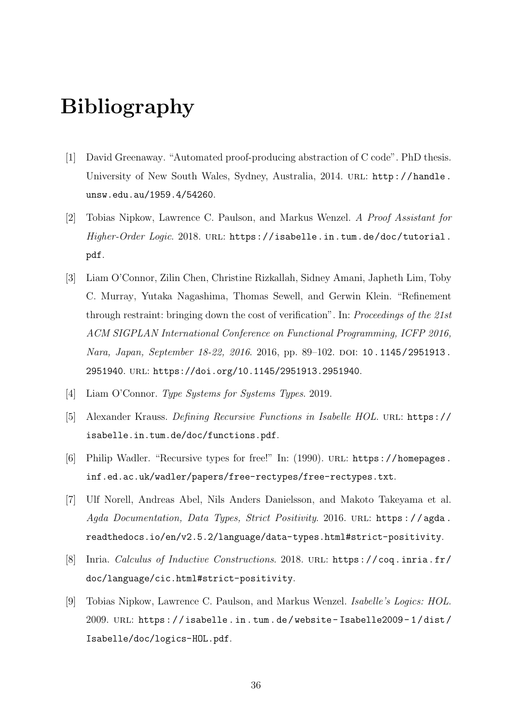## Bibliography

- <span id="page-40-0"></span>[1] David Greenaway. "Automated proof-producing abstraction of C code". PhD thesis. University of New South Wales, Sydney, Australia, 2014. URL: [http://handle.](http://handle.unsw.edu.au/1959.4/54260) [unsw.edu.au/1959.4/54260](http://handle.unsw.edu.au/1959.4/54260).
- <span id="page-40-1"></span>[2] Tobias Nipkow, Lawrence C. Paulson, and Markus Wenzel. A Proof Assistant for Higher-Order Logic. 2018. URL: [https://isabelle.in.tum.de/doc/tutorial.](https://isabelle.in.tum.de/doc/tutorial.pdf) [pdf](https://isabelle.in.tum.de/doc/tutorial.pdf).
- <span id="page-40-2"></span>[3] Liam O'Connor, Zilin Chen, Christine Rizkallah, Sidney Amani, Japheth Lim, Toby C. Murray, Yutaka Nagashima, Thomas Sewell, and Gerwin Klein. "Refinement through restraint: bringing down the cost of verification". In: Proceedings of the 21st ACM SIGPLAN International Conference on Functional Programming, ICFP 2016, Nara, Japan, September 18-22, 2016. 2016, pp. 89-102. DOI: [10.1145/2951913.](https://doi.org/10.1145/2951913.2951940) [2951940](https://doi.org/10.1145/2951913.2951940). url: <https://doi.org/10.1145/2951913.2951940>.
- <span id="page-40-3"></span>[4] Liam O'Connor. Type Systems for Systems Types. 2019.
- <span id="page-40-4"></span>[5] Alexander Krauss. Defining Recursive Functions in Isabelle HOL. url: [https://](https://isabelle.in.tum.de/doc/functions.pdf) [isabelle.in.tum.de/doc/functions.pdf](https://isabelle.in.tum.de/doc/functions.pdf).
- <span id="page-40-5"></span>[6] Philip Wadler. "Recursive types for free!" In: (1990). URL: [https://homepages.](https://homepages.inf.ed.ac.uk/wadler/papers/free-rectypes/free-rectypes.txt) [inf.ed.ac.uk/wadler/papers/free-rectypes/free-rectypes.txt](https://homepages.inf.ed.ac.uk/wadler/papers/free-rectypes/free-rectypes.txt).
- <span id="page-40-6"></span>[7] Ulf Norell, Andreas Abel, Nils Anders Danielsson, and Makoto Takeyama et al. Agda Documentation, Data Types, Strict Positivity. 2016. URL: https://agda. [readthedocs.io/en/v2.5.2/language/data-types.html#strict-positivity](https://agda.readthedocs.io/en/v2.5.2/language/data-types.html#strict-positivity).
- <span id="page-40-7"></span>[8] Inria. Calculus of Inductive Constructions. 2018. URL: [https://coq.inria.fr/](https://coq.inria.fr/doc/language/cic.html#strict-positivity) [doc/language/cic.html#strict-positivity](https://coq.inria.fr/doc/language/cic.html#strict-positivity).
- <span id="page-40-8"></span>[9] Tobias Nipkow, Lawrence C. Paulson, and Markus Wenzel. Isabelle's Logics: HOL. 2009. url: [https : / / isabelle . in . tum . de / website - Isabelle2009 - 1 / dist /](https://isabelle.in.tum.de/website-Isabelle2009-1/dist/Isabelle/doc/logics-HOL.pdf) [Isabelle/doc/logics-HOL.pdf](https://isabelle.in.tum.de/website-Isabelle2009-1/dist/Isabelle/doc/logics-HOL.pdf).